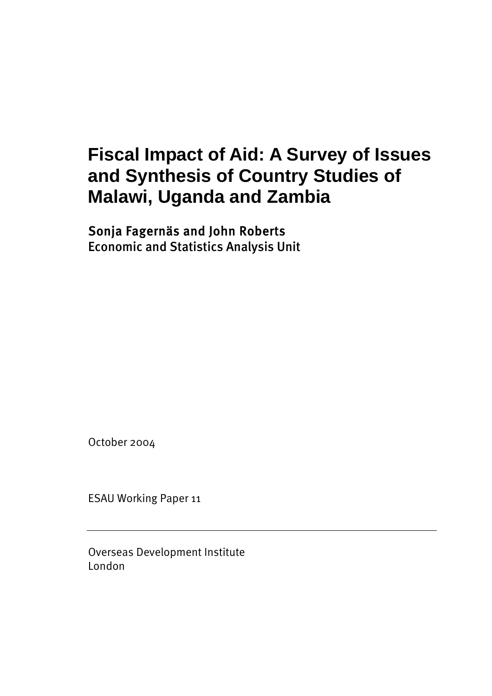# **Fiscal Impact of Aid: A Survey of Issues and Synthesis of Country Studies of Malawi, Uganda and Zambia**

## Sonja Fagernäs and John Roberts Economic and Statistics Analysis Unit

October 2004

ESAU Working Paper 11

Overseas Development Institute London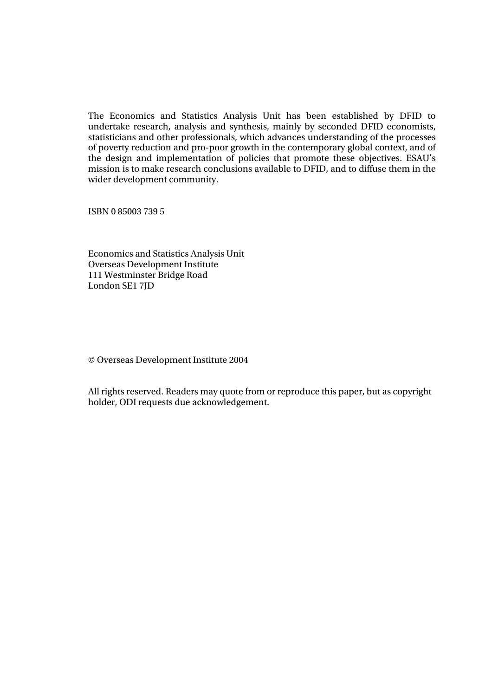The Economics and Statistics Analysis Unit has been established by DFID to undertake research, analysis and synthesis, mainly by seconded DFID economists, statisticians and other professionals, which advances understanding of the processes of poverty reduction and pro-poor growth in the contemporary global context, and of the design and implementation of policies that promote these objectives. ESAU's mission is to make research conclusions available to DFID, and to diffuse them in the wider development community.

ISBN 0 85003 739 5

Economics and Statistics Analysis Unit Overseas Development Institute 111 Westminster Bridge Road London SE1 7JD

© Overseas Development Institute 2004

All rights reserved. Readers may quote from or reproduce this paper, but as copyright holder, ODI requests due acknowledgement.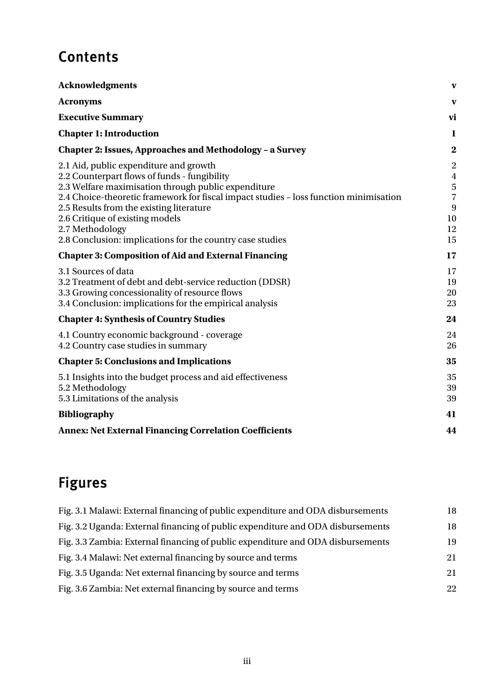# **Contents**

| <b>Acknowledgments</b>                                                                                                                                                                                                                                                                                                                                                                                                                                               | V                                                                                    |
|----------------------------------------------------------------------------------------------------------------------------------------------------------------------------------------------------------------------------------------------------------------------------------------------------------------------------------------------------------------------------------------------------------------------------------------------------------------------|--------------------------------------------------------------------------------------|
| <b>Acronyms</b>                                                                                                                                                                                                                                                                                                                                                                                                                                                      | V                                                                                    |
| <b>Executive Summary</b>                                                                                                                                                                                                                                                                                                                                                                                                                                             | vi                                                                                   |
| <b>Chapter 1: Introduction</b>                                                                                                                                                                                                                                                                                                                                                                                                                                       | 1                                                                                    |
| <b>Chapter 2: Issues, Approaches and Methodology - a Survey</b>                                                                                                                                                                                                                                                                                                                                                                                                      | $\bf{2}$                                                                             |
| 2.1 Aid, public expenditure and growth<br>2.2 Counterpart flows of funds - fungibility<br>2.3 Welfare maximisation through public expenditure<br>2.4 Choice-theoretic framework for fiscal impact studies - loss function minimisation<br>2.5 Results from the existing literature<br>2.6 Critique of existing models<br>2.7 Methodology<br>2.8 Conclusion: implications for the country case studies<br><b>Chapter 3: Composition of Aid and External Financing</b> | $\overline{2}$<br>$\overline{4}$<br>5<br>$\overline{7}$<br>9<br>10<br>12<br>15<br>17 |
| 3.1 Sources of data<br>3.2 Treatment of debt and debt-service reduction (DDSR)<br>3.3 Growing concessionality of resource flows<br>3.4 Conclusion: implications for the empirical analysis                                                                                                                                                                                                                                                                           | 17<br>19<br>20<br>23                                                                 |
| <b>Chapter 4: Synthesis of Country Studies</b>                                                                                                                                                                                                                                                                                                                                                                                                                       | 24                                                                                   |
| 4.1 Country economic background - coverage<br>4.2 Country case studies in summary                                                                                                                                                                                                                                                                                                                                                                                    | 24<br>26                                                                             |
| <b>Chapter 5: Conclusions and Implications</b>                                                                                                                                                                                                                                                                                                                                                                                                                       | 35                                                                                   |
| 5.1 Insights into the budget process and aid effectiveness<br>5.2 Methodology<br>5.3 Limitations of the analysis                                                                                                                                                                                                                                                                                                                                                     | 35<br>39<br>39                                                                       |
| <b>Bibliography</b>                                                                                                                                                                                                                                                                                                                                                                                                                                                  | 41                                                                                   |
| <b>Annex: Net External Financing Correlation Coefficients</b>                                                                                                                                                                                                                                                                                                                                                                                                        | 44                                                                                   |

# Figures

| Fig. 3.1 Malawi: External financing of public expenditure and ODA disbursements | 18 |
|---------------------------------------------------------------------------------|----|
| Fig. 3.2 Uganda: External financing of public expenditure and ODA disbursements | 18 |
| Fig. 3.3 Zambia: External financing of public expenditure and ODA disbursements | 19 |
| Fig. 3.4 Malawi: Net external financing by source and terms                     | 21 |
| Fig. 3.5 Uganda: Net external financing by source and terms                     | 21 |
| Fig. 3.6 Zambia: Net external financing by source and terms                     | 22 |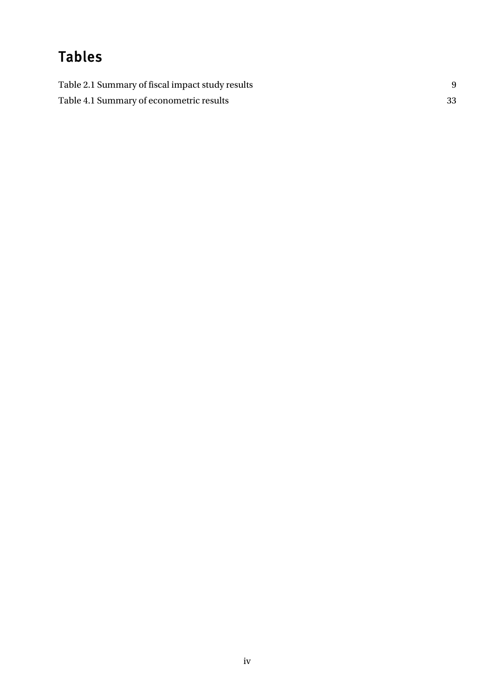# Tables

| Table 2.1 Summary of fiscal impact study results |    |
|--------------------------------------------------|----|
| Table 4.1 Summary of econometric results         | 33 |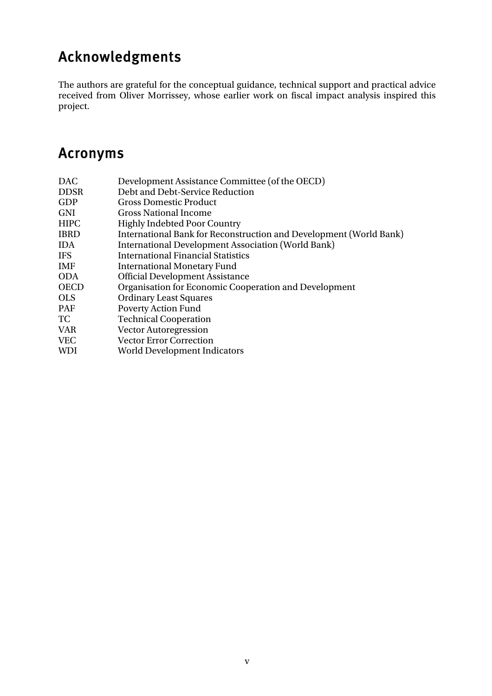# <span id="page-4-0"></span>Acknowledgments

The authors are grateful for the conceptual guidance, technical support and practical advice received from Oliver Morrissey, whose earlier work on fiscal impact analysis inspired this project.

## Acronyms

| <b>DAC</b>  | Development Assistance Committee (of the OECD)                     |
|-------------|--------------------------------------------------------------------|
| <b>DDSR</b> | Debt and Debt-Service Reduction                                    |
| GDP         | <b>Gross Domestic Product</b>                                      |
| <b>GNI</b>  | <b>Gross National Income</b>                                       |
| <b>HIPC</b> | <b>Highly Indebted Poor Country</b>                                |
| <b>IBRD</b> | International Bank for Reconstruction and Development (World Bank) |
| <b>IDA</b>  | <b>International Development Association (World Bank)</b>          |
| <b>IFS</b>  | <b>International Financial Statistics</b>                          |
| <b>IMF</b>  | <b>International Monetary Fund</b>                                 |
| <b>ODA</b>  | <b>Official Development Assistance</b>                             |
| <b>OECD</b> | Organisation for Economic Cooperation and Development              |
| <b>OLS</b>  | <b>Ordinary Least Squares</b>                                      |
| <b>PAF</b>  | <b>Poverty Action Fund</b>                                         |
| TС.         | <b>Technical Cooperation</b>                                       |
| <b>VAR</b>  | <b>Vector Autoregression</b>                                       |
| <b>VEC</b>  | <b>Vector Error Correction</b>                                     |
| <b>WDI</b>  | <b>World Development Indicators</b>                                |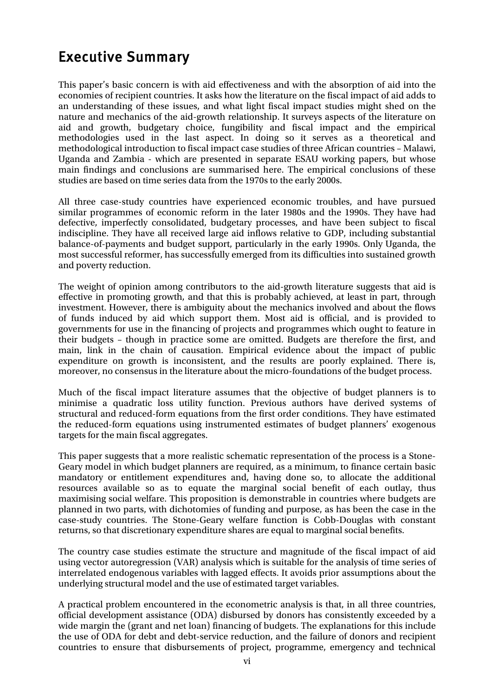## <span id="page-5-0"></span>Executive Summary

This paper's basic concern is with aid effectiveness and with the absorption of aid into the economies of recipient countries. It asks how the literature on the fiscal impact of aid adds to an understanding of these issues, and what light fiscal impact studies might shed on the nature and mechanics of the aid-growth relationship. It surveys aspects of the literature on aid and growth, budgetary choice, fungibility and fiscal impact and the empirical methodologies used in the last aspect. In doing so it serves as a theoretical and methodological introduction to fiscal impact case studies of three African countries – Malawi, Uganda and Zambia - which are presented in separate ESAU working papers, but whose main findings and conclusions are summarised here. The empirical conclusions of these studies are based on time series data from the 1970s to the early 2000s.

All three case-study countries have experienced economic troubles, and have pursued similar programmes of economic reform in the later 1980s and the 1990s. They have had defective, imperfectly consolidated, budgetary processes, and have been subject to fiscal indiscipline. They have all received large aid inflows relative to GDP, including substantial balance-of-payments and budget support, particularly in the early 1990s. Only Uganda, the most successful reformer, has successfully emerged from its difficulties into sustained growth and poverty reduction.

The weight of opinion among contributors to the aid-growth literature suggests that aid is effective in promoting growth, and that this is probably achieved, at least in part, through investment. However, there is ambiguity about the mechanics involved and about the flows of funds induced by aid which support them. Most aid is official, and is provided to governments for use in the financing of projects and programmes which ought to feature in their budgets – though in practice some are omitted. Budgets are therefore the first, and main, link in the chain of causation. Empirical evidence about the impact of public expenditure on growth is inconsistent, and the results are poorly explained. There is, moreover, no consensus in the literature about the micro-foundations of the budget process.

Much of the fiscal impact literature assumes that the objective of budget planners is to minimise a quadratic loss utility function. Previous authors have derived systems of structural and reduced-form equations from the first order conditions. They have estimated the reduced-form equations using instrumented estimates of budget planners' exogenous targets for the main fiscal aggregates.

This paper suggests that a more realistic schematic representation of the process is a Stone-Geary model in which budget planners are required, as a minimum, to finance certain basic mandatory or entitlement expenditures and, having done so, to allocate the additional resources available so as to equate the marginal social benefit of each outlay, thus maximising social welfare. This proposition is demonstrable in countries where budgets are planned in two parts, with dichotomies of funding and purpose, as has been the case in the case-study countries. The Stone-Geary welfare function is Cobb-Douglas with constant returns, so that discretionary expenditure shares are equal to marginal social benefits.

The country case studies estimate the structure and magnitude of the fiscal impact of aid using vector autoregression (VAR) analysis which is suitable for the analysis of time series of interrelated endogenous variables with lagged effects. It avoids prior assumptions about the underlying structural model and the use of estimated target variables.

A practical problem encountered in the econometric analysis is that, in all three countries, official development assistance (ODA) disbursed by donors has consistently exceeded by a wide margin the (grant and net loan) financing of budgets. The explanations for this include the use of ODA for debt and debt-service reduction, and the failure of donors and recipient countries to ensure that disbursements of project, programme, emergency and technical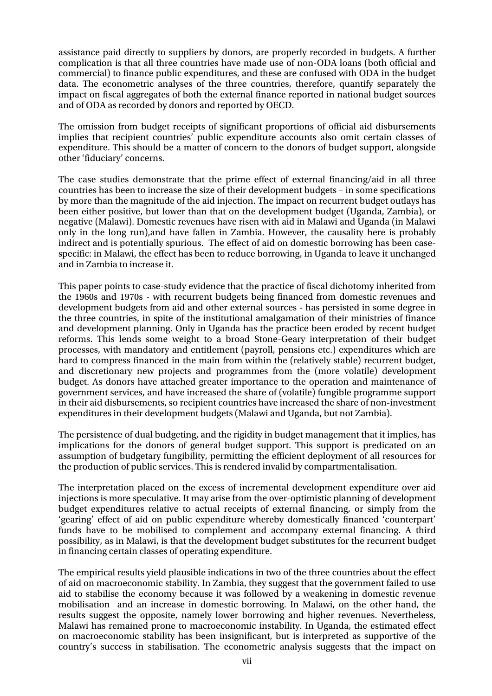assistance paid directly to suppliers by donors, are properly recorded in budgets. A further complication is that all three countries have made use of non-ODA loans (both official and commercial) to finance public expenditures, and these are confused with ODA in the budget data. The econometric analyses of the three countries, therefore, quantify separately the impact on fiscal aggregates of both the external finance reported in national budget sources and of ODA as recorded by donors and reported by OECD.

The omission from budget receipts of significant proportions of official aid disbursements implies that recipient countries' public expenditure accounts also omit certain classes of expenditure. This should be a matter of concern to the donors of budget support, alongside other 'fiduciary' concerns.

The case studies demonstrate that the prime effect of external financing/aid in all three countries has been to increase the size of their development budgets – in some specifications by more than the magnitude of the aid injection. The impact on recurrent budget outlays has been either positive, but lower than that on the development budget (Uganda, Zambia), or negative (Malawi). Domestic revenues have risen with aid in Malawi and Uganda (in Malawi only in the long run),and have fallen in Zambia. However, the causality here is probably indirect and is potentially spurious. The effect of aid on domestic borrowing has been casespecific: in Malawi, the effect has been to reduce borrowing, in Uganda to leave it unchanged and in Zambia to increase it.

This paper points to case-study evidence that the practice of fiscal dichotomy inherited from the 1960s and 1970s - with recurrent budgets being financed from domestic revenues and development budgets from aid and other external sources - has persisted in some degree in the three countries, in spite of the institutional amalgamation of their ministries of finance and development planning. Only in Uganda has the practice been eroded by recent budget reforms. This lends some weight to a broad Stone-Geary interpretation of their budget processes, with mandatory and entitlement (payroll, pensions etc.) expenditures which are hard to compress financed in the main from within the (relatively stable) recurrent budget, and discretionary new projects and programmes from the (more volatile) development budget. As donors have attached greater importance to the operation and maintenance of government services, and have increased the share of (volatile) fungible programme support in their aid disbursements, so recipient countries have increased the share of non-investment expenditures in their development budgets (Malawi and Uganda, but not Zambia).

The persistence of dual budgeting, and the rigidity in budget management that it implies, has implications for the donors of general budget support. This support is predicated on an assumption of budgetary fungibility, permitting the efficient deployment of all resources for the production of public services. This is rendered invalid by compartmentalisation.

The interpretation placed on the excess of incremental development expenditure over aid injections is more speculative. It may arise from the over-optimistic planning of development budget expenditures relative to actual receipts of external financing, or simply from the 'gearing' effect of aid on public expenditure whereby domestically financed 'counterpart' funds have to be mobilised to complement and accompany external financing. A third possibility, as in Malawi, is that the development budget substitutes for the recurrent budget in financing certain classes of operating expenditure.

The empirical results yield plausible indications in two of the three countries about the effect of aid on macroeconomic stability. In Zambia, they suggest that the government failed to use aid to stabilise the economy because it was followed by a weakening in domestic revenue mobilisation and an increase in domestic borrowing. In Malawi, on the other hand, the results suggest the opposite, namely lower borrowing and higher revenues. Nevertheless, Malawi has remained prone to macroeconomic instability. In Uganda, the estimated effect on macroeconomic stability has been insignificant, but is interpreted as supportive of the country's success in stabilisation. The econometric analysis suggests that the impact on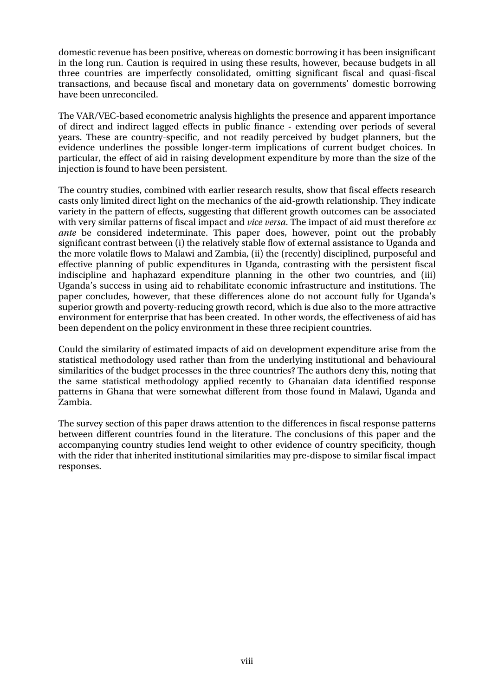domestic revenue has been positive, whereas on domestic borrowing it has been insignificant in the long run. Caution is required in using these results, however, because budgets in all three countries are imperfectly consolidated, omitting significant fiscal and quasi-fiscal transactions, and because fiscal and monetary data on governments' domestic borrowing have been unreconciled.

The VAR/VEC-based econometric analysis highlights the presence and apparent importance of direct and indirect lagged effects in public finance - extending over periods of several years. These are country-specific, and not readily perceived by budget planners, but the evidence underlines the possible longer-term implications of current budget choices. In particular, the effect of aid in raising development expenditure by more than the size of the injection is found to have been persistent.

The country studies, combined with earlier research results, show that fiscal effects research casts only limited direct light on the mechanics of the aid-growth relationship. They indicate variety in the pattern of effects, suggesting that different growth outcomes can be associated with very similar patterns of fiscal impact and *vice versa*. The impact of aid must therefore *ex ante* be considered indeterminate. This paper does, however, point out the probably significant contrast between (i) the relatively stable flow of external assistance to Uganda and the more volatile flows to Malawi and Zambia, (ii) the (recently) disciplined, purposeful and effective planning of public expenditures in Uganda, contrasting with the persistent fiscal indiscipline and haphazard expenditure planning in the other two countries, and (iii) Uganda's success in using aid to rehabilitate economic infrastructure and institutions. The paper concludes, however, that these differences alone do not account fully for Uganda's superior growth and poverty-reducing growth record, which is due also to the more attractive environment for enterprise that has been created. In other words, the effectiveness of aid has been dependent on the policy environment in these three recipient countries.

Could the similarity of estimated impacts of aid on development expenditure arise from the statistical methodology used rather than from the underlying institutional and behavioural similarities of the budget processes in the three countries? The authors deny this, noting that the same statistical methodology applied recently to Ghanaian data identified response patterns in Ghana that were somewhat different from those found in Malawi, Uganda and Zambia.

The survey section of this paper draws attention to the differences in fiscal response patterns between different countries found in the literature. The conclusions of this paper and the accompanying country studies lend weight to other evidence of country specificity, though with the rider that inherited institutional similarities may pre-dispose to similar fiscal impact responses.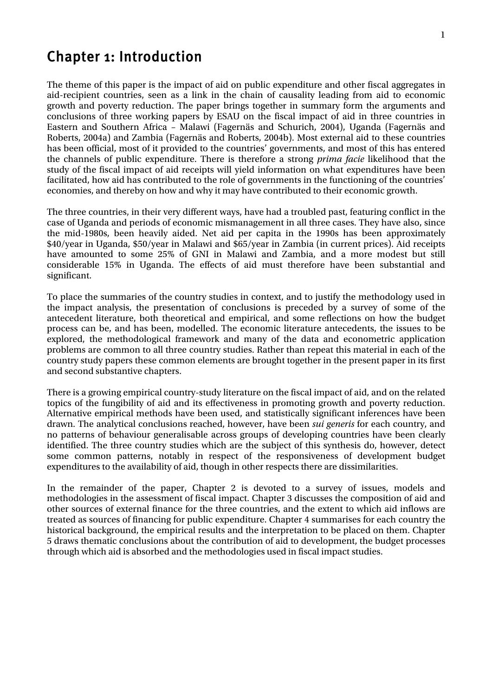## <span id="page-8-0"></span>Chapter 1: Introduction

The theme of this paper is the impact of aid on public expenditure and other fiscal aggregates in aid-recipient countries, seen as a link in the chain of causality leading from aid to economic growth and poverty reduction. The paper brings together in summary form the arguments and conclusions of three working papers by ESAU on the fiscal impact of aid in three countries in Eastern and Southern Africa – Malawi (Fagernäs and Schurich, 2004), Uganda (Fagernäs and Roberts, 2004a) and Zambia (Fagernäs and Roberts, 2004b). Most external aid to these countries has been official, most of it provided to the countries' governments, and most of this has entered the channels of public expenditure. There is therefore a strong *prima facie* likelihood that the study of the fiscal impact of aid receipts will yield information on what expenditures have been facilitated, how aid has contributed to the role of governments in the functioning of the countries' economies, and thereby on how and why it may have contributed to their economic growth.

The three countries, in their very different ways, have had a troubled past, featuring conflict in the case of Uganda and periods of economic mismanagement in all three cases. They have also, since the mid-1980s, been heavily aided. Net aid per capita in the 1990s has been approximately \$40/year in Uganda, \$50/year in Malawi and \$65/year in Zambia (in current prices). Aid receipts have amounted to some 25% of GNI in Malawi and Zambia, and a more modest but still considerable 15% in Uganda. The effects of aid must therefore have been substantial and significant.

To place the summaries of the country studies in context, and to justify the methodology used in the impact analysis, the presentation of conclusions is preceded by a survey of some of the antecedent literature, both theoretical and empirical, and some reflections on how the budget process can be, and has been, modelled. The economic literature antecedents, the issues to be explored, the methodological framework and many of the data and econometric application problems are common to all three country studies. Rather than repeat this material in each of the country study papers these common elements are brought together in the present paper in its first and second substantive chapters.

There is a growing empirical country-study literature on the fiscal impact of aid, and on the related topics of the fungibility of aid and its effectiveness in promoting growth and poverty reduction. Alternative empirical methods have been used, and statistically significant inferences have been drawn. The analytical conclusions reached, however, have been *sui generis* for each country, and no patterns of behaviour generalisable across groups of developing countries have been clearly identified. The three country studies which are the subject of this synthesis do, however, detect some common patterns, notably in respect of the responsiveness of development budget expenditures to the availability of aid, though in other respects there are dissimilarities.

In the remainder of the paper, Chapter 2 is devoted to a survey of issues, models and methodologies in the assessment of fiscal impact. Chapter 3 discusses the composition of aid and other sources of external finance for the three countries, and the extent to which aid inflows are treated as sources of financing for public expenditure. Chapter 4 summarises for each country the historical background, the empirical results and the interpretation to be placed on them. Chapter 5 draws thematic conclusions about the contribution of aid to development, the budget processes through which aid is absorbed and the methodologies used in fiscal impact studies.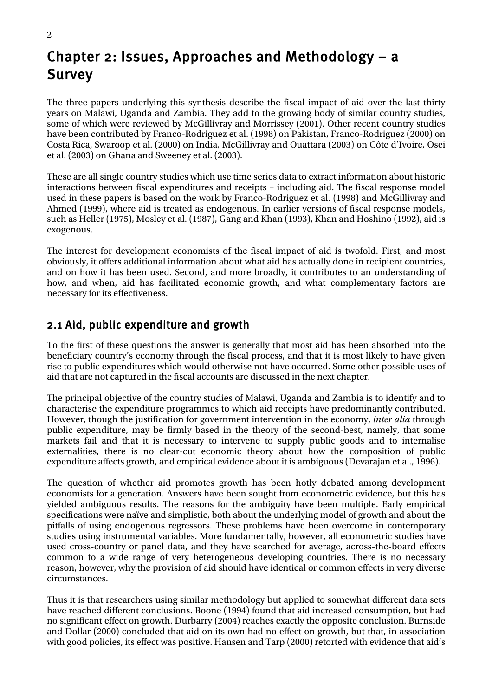## <span id="page-9-0"></span>Chapter 2: Issues, Approaches and Methodology – a Survey

The three papers underlying this synthesis describe the fiscal impact of aid over the last thirty years on Malawi, Uganda and Zambia. They add to the growing body of similar country studies, some of which were reviewed by McGillivray and Morrissey (2001). Other recent country studies have been contributed by Franco-Rodriguez et al. (1998) on Pakistan, Franco-Rodriguez (2000) on Costa Rica, Swaroop et al. (2000) on India, McGillivray and Ouattara (2003) on Côte d'Ivoire, Osei et al. (2003) on Ghana and Sweeney et al. (2003).

These are all single country studies which use time series data to extract information about historic interactions between fiscal expenditures and receipts – including aid. The fiscal response model used in these papers is based on the work by Franco-Rodriguez et al. (1998) and McGillivray and Ahmed (1999), where aid is treated as endogenous. In earlier versions of fiscal response models, such as Heller (1975), Mosley et al. (1987), Gang and Khan (1993), Khan and Hoshino (1992), aid is exogenous.

The interest for development economists of the fiscal impact of aid is twofold. First, and most obviously, it offers additional information about what aid has actually done in recipient countries, and on how it has been used. Second, and more broadly, it contributes to an understanding of how, and when, aid has facilitated economic growth, and what complementary factors are necessary for its effectiveness.

### 2.1 Aid, public expenditure and growth

To the first of these questions the answer is generally that most aid has been absorbed into the beneficiary country's economy through the fiscal process, and that it is most likely to have given rise to public expenditures which would otherwise not have occurred. Some other possible uses of aid that are not captured in the fiscal accounts are discussed in the next chapter.

The principal objective of the country studies of Malawi, Uganda and Zambia is to identify and to characterise the expenditure programmes to which aid receipts have predominantly contributed. However, though the justification for government intervention in the economy, *inter alia* through public expenditure, may be firmly based in the theory of the second-best, namely, that some markets fail and that it is necessary to intervene to supply public goods and to internalise externalities, there is no clear-cut economic theory about how the composition of public expenditure affects growth, and empirical evidence about it is ambiguous (Devarajan et al., 1996).

The question of whether aid promotes growth has been hotly debated among development economists for a generation. Answers have been sought from econometric evidence, but this has yielded ambiguous results. The reasons for the ambiguity have been multiple. Early empirical specifications were naïve and simplistic, both about the underlying model of growth and about the pitfalls of using endogenous regressors. These problems have been overcome in contemporary studies using instrumental variables. More fundamentally, however, all econometric studies have used cross-country or panel data, and they have searched for average, across-the-board effects common to a wide range of very heterogeneous developing countries. There is no necessary reason, however, why the provision of aid should have identical or common effects in very diverse circumstances.

Thus it is that researchers using similar methodology but applied to somewhat different data sets have reached different conclusions. Boone (1994) found that aid increased consumption, but had no significant effect on growth. Durbarry (2004) reaches exactly the opposite conclusion. Burnside and Dollar (2000) concluded that aid on its own had no effect on growth, but that, in association with good policies, its effect was positive. Hansen and Tarp (2000) retorted with evidence that aid's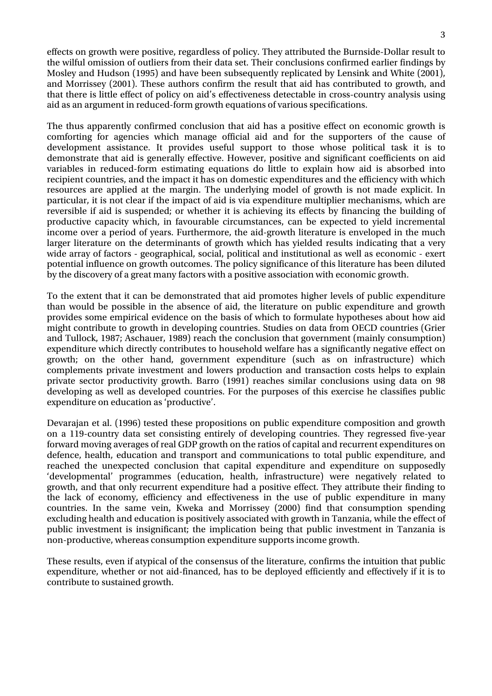effects on growth were positive, regardless of policy. They attributed the Burnside-Dollar result to the wilful omission of outliers from their data set. Their conclusions confirmed earlier findings by Mosley and Hudson (1995) and have been subsequently replicated by Lensink and White (2001), and Morrissey (2001). These authors confirm the result that aid has contributed to growth, and that there is little effect of policy on aid's effectiveness detectable in cross-country analysis using aid as an argument in reduced-form growth equations of various specifications.

The thus apparently confirmed conclusion that aid has a positive effect on economic growth is comforting for agencies which manage official aid and for the supporters of the cause of development assistance. It provides useful support to those whose political task it is to demonstrate that aid is generally effective. However, positive and significant coefficients on aid variables in reduced-form estimating equations do little to explain how aid is absorbed into recipient countries, and the impact it has on domestic expenditures and the efficiency with which resources are applied at the margin. The underlying model of growth is not made explicit. In particular, it is not clear if the impact of aid is via expenditure multiplier mechanisms, which are reversible if aid is suspended; or whether it is achieving its effects by financing the building of productive capacity which, in favourable circumstances, can be expected to yield incremental income over a period of years. Furthermore, the aid-growth literature is enveloped in the much larger literature on the determinants of growth which has yielded results indicating that a very wide array of factors - geographical, social, political and institutional as well as economic - exert potential influence on growth outcomes. The policy significance of this literature has been diluted by the discovery of a great many factors with a positive association with economic growth.

To the extent that it can be demonstrated that aid promotes higher levels of public expenditure than would be possible in the absence of aid, the literature on public expenditure and growth provides some empirical evidence on the basis of which to formulate hypotheses about how aid might contribute to growth in developing countries. Studies on data from OECD countries (Grier and Tullock, 1987; Aschauer, 1989) reach the conclusion that government (mainly consumption) expenditure which directly contributes to household welfare has a significantly negative effect on growth; on the other hand, government expenditure (such as on infrastructure) which complements private investment and lowers production and transaction costs helps to explain private sector productivity growth. Barro (1991) reaches similar conclusions using data on 98 developing as well as developed countries. For the purposes of this exercise he classifies public expenditure on education as 'productive'.

Devarajan et al. (1996) tested these propositions on public expenditure composition and growth on a 119-country data set consisting entirely of developing countries. They regressed five-year forward moving averages of real GDP growth on the ratios of capital and recurrent expenditures on defence, health, education and transport and communications to total public expenditure, and reached the unexpected conclusion that capital expenditure and expenditure on supposedly 'developmental' programmes (education, health, infrastructure) were negatively related to growth, and that only recurrent expenditure had a positive effect. They attribute their finding to the lack of economy, efficiency and effectiveness in the use of public expenditure in many countries. In the same vein, Kweka and Morrissey (2000) find that consumption spending excluding health and education is positively associated with growth in Tanzania, while the effect of public investment is insignificant; the implication being that public investment in Tanzania is non-productive, whereas consumption expenditure supports income growth.

These results, even if atypical of the consensus of the literature, confirms the intuition that public expenditure, whether or not aid-financed, has to be deployed efficiently and effectively if it is to contribute to sustained growth.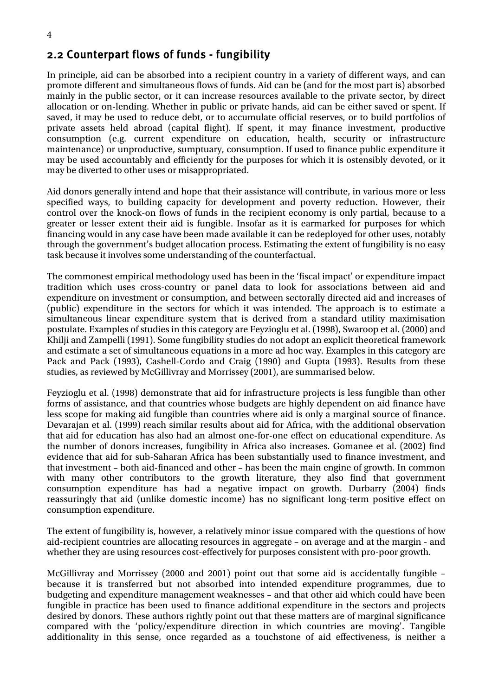#### <span id="page-11-0"></span>2.2 Counterpart flows of funds - fungibility

In principle, aid can be absorbed into a recipient country in a variety of different ways, and can promote different and simultaneous flows of funds. Aid can be (and for the most part is) absorbed mainly in the public sector, or it can increase resources available to the private sector, by direct allocation or on-lending. Whether in public or private hands, aid can be either saved or spent. If saved, it may be used to reduce debt, or to accumulate official reserves, or to build portfolios of private assets held abroad (capital flight). If spent, it may finance investment, productive consumption (e.g. current expenditure on education, health, security or infrastructure maintenance) or unproductive, sumptuary, consumption. If used to finance public expenditure it may be used accountably and efficiently for the purposes for which it is ostensibly devoted, or it may be diverted to other uses or misappropriated.

Aid donors generally intend and hope that their assistance will contribute, in various more or less specified ways, to building capacity for development and poverty reduction. However, their control over the knock-on flows of funds in the recipient economy is only partial, because to a greater or lesser extent their aid is fungible. Insofar as it is earmarked for purposes for which financing would in any case have been made available it can be redeployed for other uses, notably through the government's budget allocation process. Estimating the extent of fungibility is no easy task because it involves some understanding of the counterfactual.

The commonest empirical methodology used has been in the 'fiscal impact' or expenditure impact tradition which uses cross-country or panel data to look for associations between aid and expenditure on investment or consumption, and between sectorally directed aid and increases of (public) expenditure in the sectors for which it was intended. The approach is to estimate a simultaneous linear expenditure system that is derived from a standard utility maximisation postulate. Examples of studies in this category are Feyzioglu et al. (1998), Swaroop et al. (2000) and Khilji and Zampelli (1991). Some fungibility studies do not adopt an explicit theoretical framework and estimate a set of simultaneous equations in a more ad hoc way. Examples in this category are Pack and Pack (1993), Cashell-Cordo and Craig (1990) and Gupta (1993). Results from these studies, as reviewed by McGillivray and Morrissey (2001), are summarised below.

Feyzioglu et al. (1998) demonstrate that aid for infrastructure projects is less fungible than other forms of assistance, and that countries whose budgets are highly dependent on aid finance have less scope for making aid fungible than countries where aid is only a marginal source of finance. Devarajan et al. (1999) reach similar results about aid for Africa, with the additional observation that aid for education has also had an almost one-for-one effect on educational expenditure. As the number of donors increases, fungibility in Africa also increases. Gomanee et al. (2002) find evidence that aid for sub-Saharan Africa has been substantially used to finance investment, and that investment – both aid-financed and other – has been the main engine of growth. In common with many other contributors to the growth literature, they also find that government consumption expenditure has had a negative impact on growth. Durbarry (2004) finds reassuringly that aid (unlike domestic income) has no significant long-term positive effect on consumption expenditure.

The extent of fungibility is, however, a relatively minor issue compared with the questions of how aid-recipient countries are allocating resources in aggregate – on average and at the margin - and whether they are using resources cost-effectively for purposes consistent with pro-poor growth.

McGillivray and Morrissey (2000 and 2001) point out that some aid is accidentally fungible – because it is transferred but not absorbed into intended expenditure programmes, due to budgeting and expenditure management weaknesses – and that other aid which could have been fungible in practice has been used to finance additional expenditure in the sectors and projects desired by donors. These authors rightly point out that these matters are of marginal significance compared with the 'policy/expenditure direction in which countries are moving'. Tangible additionality in this sense, once regarded as a touchstone of aid effectiveness, is neither a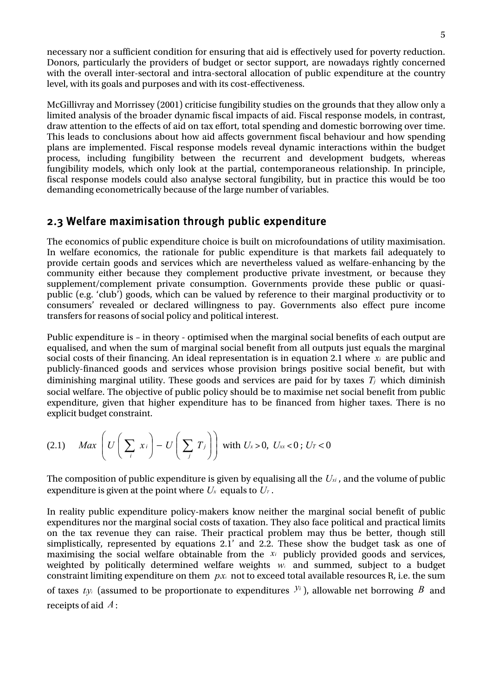<span id="page-12-0"></span>necessary nor a sufficient condition for ensuring that aid is effectively used for poverty reduction. Donors, particularly the providers of budget or sector support, are nowadays rightly concerned with the overall inter-sectoral and intra-sectoral allocation of public expenditure at the country level, with its goals and purposes and with its cost-effectiveness.

McGillivray and Morrissey (2001) criticise fungibility studies on the grounds that they allow only a limited analysis of the broader dynamic fiscal impacts of aid. Fiscal response models, in contrast, draw attention to the effects of aid on tax effort, total spending and domestic borrowing over time. This leads to conclusions about how aid affects government fiscal behaviour and how spending plans are implemented. Fiscal response models reveal dynamic interactions within the budget process, including fungibility between the recurrent and development budgets, whereas fungibility models, which only look at the partial, contemporaneous relationship. In principle, fiscal response models could also analyse sectoral fungibility, but in practice this would be too demanding econometrically because of the large number of variables.

#### 2.3 Welfare maximisation through public expenditure

The economics of public expenditure choice is built on microfoundations of utility maximisation. In welfare economics, the rationale for public expenditure is that markets fail adequately to provide certain goods and services which are nevertheless valued as welfare-enhancing by the community either because they complement productive private investment, or because they supplement/complement private consumption. Governments provide these public or quasipublic (e.g. 'club') goods, which can be valued by reference to their marginal productivity or to consumers' revealed or declared willingness to pay. Governments also effect pure income transfers for reasons of social policy and political interest.

Public expenditure is – in theory - optimised when the marginal social benefits of each output are equalised, and when the sum of marginal social benefit from all outputs just equals the marginal social costs of their financing. An ideal representation is in equation 2.1 where *xi* are public and publicly-financed goods and services whose provision brings positive social benefit, but with diminishing marginal utility. These goods and services are paid for by taxes  $T_j$  which diminish social welfare. The objective of public policy should be to maximise net social benefit from public expenditure, given that higher expenditure has to be financed from higher taxes. There is no explicit budget constraint.

$$
(2.1) \quad Max \left( U \left( \sum_i x_i \right) - U \left( \sum_j T_j \right) \right) \text{ with } U_x > 0, \ U_x < 0 \text{; } U_T < 0
$$

The composition of public expenditure is given by equalising all the  $U_{xi}$  , and the volume of public expenditure is given at the point where  $U_x$  equals to  $U_x$ .

In reality public expenditure policy-makers know neither the marginal social benefit of public expenditures nor the marginal social costs of taxation. They also face political and practical limits on the tax revenue they can raise. Their practical problem may thus be better, though still simplistically, represented by equations 2.1' and 2.2. These show the budget task as one of maximising the social welfare obtainable from the *xi* publicly provided goods and services, weighted by politically determined welfare weights  $w_i$  and summed, subject to a budget constraint limiting expenditure on them  $px_i$  not to exceed total available resources R, i.e. the sum of taxes  $t_i$ <sub>*yi*</sub> (assumed to be proportionate to expenditures  $y_i$ <sup>*y*<sub>i</sub></sup>), allowable net borrowing *B* and receipts of aid *A* :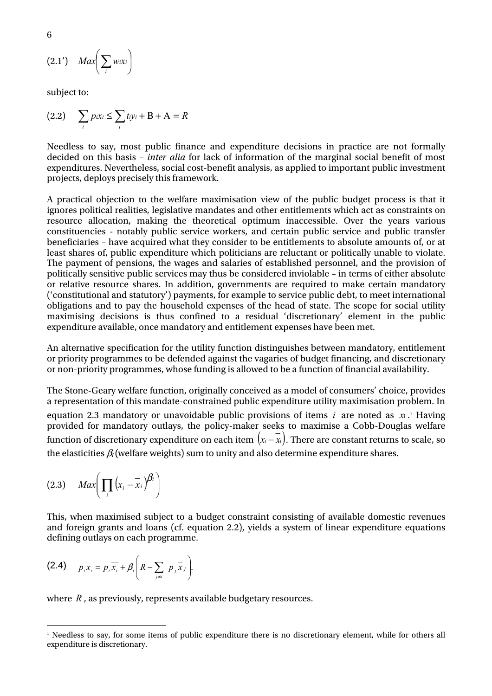$$
(2.1') \quad Max \bigg(\sum_i w_i x_i\bigg)
$$

subject to:

$$
(2.2) \qquad \sum_{i} p_{i}x_{i} \le \sum_{i} t_{i}y_{i} + B + A = R
$$

Needless to say, most public finance and expenditure decisions in practice are not formally decided on this basis – *inter alia* for lack of information of the marginal social benefit of most expenditures. Nevertheless, social cost-benefit analysis, as applied to important public investment projects, deploys precisely this framework.

A practical objection to the welfare maximisation view of the public budget process is that it ignores political realities, legislative mandates and other entitlements which act as constraints on resource allocation, making the theoretical optimum inaccessible. Over the years various constituencies - notably public service workers, and certain public service and public transfer beneficiaries – have acquired what they consider to be entitlements to absolute amounts of, or at least shares of, public expenditure which politicians are reluctant or politically unable to violate. The payment of pensions, the wages and salaries of established personnel, and the provision of politically sensitive public services may thus be considered inviolable – in terms of either absolute or relative resource shares. In addition, governments are required to make certain mandatory ('constitutional and statutory') payments, for example to service public debt, to meet international obligations and to pay the household expenses of the head of state. The scope for social utility maximising decisions is thus confined to a residual 'discretionary' element in the public expenditure available, once mandatory and entitlement expenses have been met.

An alternative specification for the utility function distinguishes between mandatory, entitlement or priority programmes to be defended against the vagaries of budget financing, and discretionary or non-priority programmes, whose funding is allowed to be a function of financial availability.

The Stone-Geary welfare function, originally conceived as a model of consumers' choice, provides a representation of this mandate-constrained public expenditure utility maximisation problem. In equation2.3 mandatory or unavoidable public provisions of items  $i$  are noted as  $x_i$ .<sup>1</sup> Having provided for mandatory outlays, the policy-maker seeks to maximise a Cobb-Douglas welfare function of discretionary expenditure on each item  $(x_i - \overline{x}_i)$ . There are constant returns to scale, so the elasticities  $\beta_l$  (welfare weights) sum to unity and also determine expenditure shares.

$$
(2.3) \quad Max \bigg(\prod_i \big(x_i - \overline{x}_i\big)^{\beta_i}\bigg)
$$

This, when maximised subject to a budget constraint consisting of available domestic revenues and foreign grants and loans (cf. equation 2.2), yields a system of linear expenditure equations defining outlays on each programme.

(2.4) 
$$
p_i x_i = p_i \overline{x_i} + \beta_i \left( R - \sum_{j \neq i} p_j \overline{x_j} \right)
$$
.

where *R*, as previously, represents available budgetary resources.

<span id="page-13-0"></span> $\frac{1}{1}$ <sup>1</sup> Needless to say, for some items of public expenditure there is no discretionary element, while for others all expenditure is discretionary.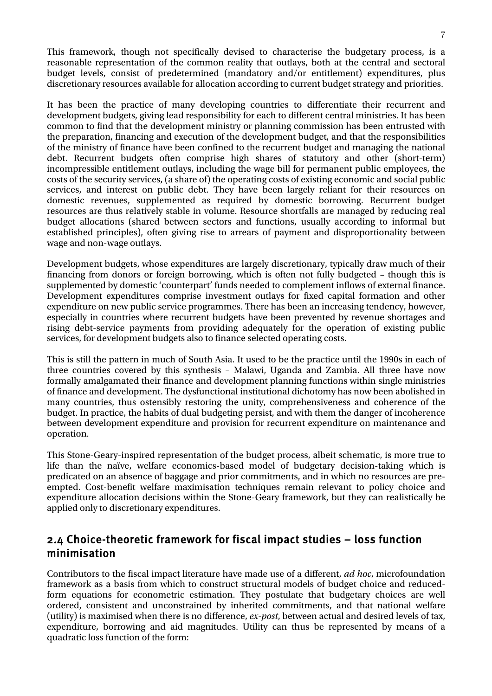<span id="page-14-0"></span>This framework, though not specifically devised to characterise the budgetary process, is a reasonable representation of the common reality that outlays, both at the central and sectoral budget levels, consist of predetermined (mandatory and/or entitlement) expenditures, plus discretionary resources available for allocation according to current budget strategy and priorities.

It has been the practice of many developing countries to differentiate their recurrent and development budgets, giving lead responsibility for each to different central ministries. It has been common to find that the development ministry or planning commission has been entrusted with the preparation, financing and execution of the development budget, and that the responsibilities of the ministry of finance have been confined to the recurrent budget and managing the national debt. Recurrent budgets often comprise high shares of statutory and other (short-term) incompressible entitlement outlays, including the wage bill for permanent public employees, the costs of the security services, (a share of) the operating costs of existing economic and social public services, and interest on public debt. They have been largely reliant for their resources on domestic revenues, supplemented as required by domestic borrowing. Recurrent budget resources are thus relatively stable in volume. Resource shortfalls are managed by reducing real budget allocations (shared between sectors and functions, usually according to informal but established principles), often giving rise to arrears of payment and disproportionality between wage and non-wage outlays.

Development budgets, whose expenditures are largely discretionary, typically draw much of their financing from donors or foreign borrowing, which is often not fully budgeted – though this is supplemented by domestic 'counterpart' funds needed to complement inflows of external finance. Development expenditures comprise investment outlays for fixed capital formation and other expenditure on new public service programmes. There has been an increasing tendency, however, especially in countries where recurrent budgets have been prevented by revenue shortages and rising debt-service payments from providing adequately for the operation of existing public services, for development budgets also to finance selected operating costs.

This is still the pattern in much of South Asia. It used to be the practice until the 1990s in each of three countries covered by this synthesis – Malawi, Uganda and Zambia. All three have now formally amalgamated their finance and development planning functions within single ministries of finance and development. The dysfunctional institutional dichotomy has now been abolished in many countries, thus ostensibly restoring the unity, comprehensiveness and coherence of the budget. In practice, the habits of dual budgeting persist, and with them the danger of incoherence between development expenditure and provision for recurrent expenditure on maintenance and operation.

This Stone-Geary-inspired representation of the budget process, albeit schematic, is more true to life than the naïve, welfare economics-based model of budgetary decision-taking which is predicated on an absence of baggage and prior commitments, and in which no resources are preempted. Cost-benefit welfare maximisation techniques remain relevant to policy choice and expenditure allocation decisions within the Stone-Geary framework, but they can realistically be applied only to discretionary expenditures.

### 2.4 Choice-theoretic framework for fiscal impact studies – loss function minimisation

Contributors to the fiscal impact literature have made use of a different, *ad hoc*, microfoundation framework as a basis from which to construct structural models of budget choice and reducedform equations for econometric estimation. They postulate that budgetary choices are well ordered, consistent and unconstrained by inherited commitments, and that national welfare (utility) is maximised when there is no difference, *ex-post*, between actual and desired levels of tax, expenditure, borrowing and aid magnitudes. Utility can thus be represented by means of a quadratic loss function of the form: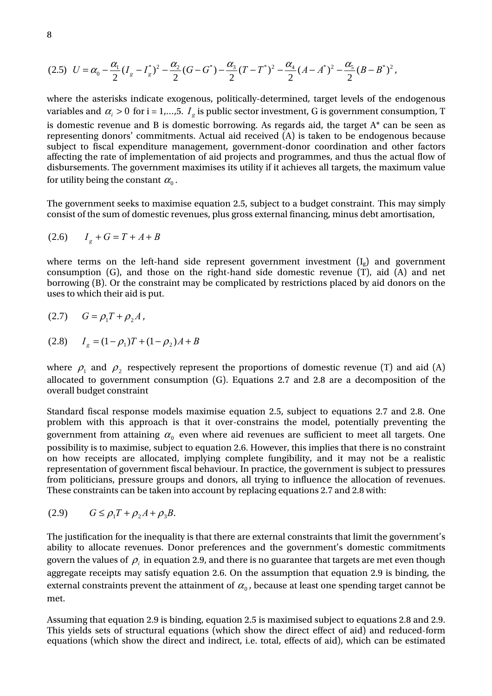$$
(2.5) \quad U = \alpha_0 - \frac{\alpha_1}{2} (I_g - I_g^*)^2 - \frac{\alpha_2}{2} (G - G^*) - \frac{\alpha_3}{2} (T - T^*)^2 - \frac{\alpha_4}{2} (A - A^*)^2 - \frac{\alpha_5}{2} (B - B^*)^2,
$$

where the asterisks indicate exogenous, politically-determined, target levels of the endogenous variables and  $\alpha_i > 0$  for i = 1,...,5.  $I_g$  is public sector investment, G is government consumption, T is domestic revenue and B is domestic borrowing. As regards aid, the target  $A^*$  can be seen as representing donors' commitments. Actual aid received (A) is taken to be endogenous because subject to fiscal expenditure management, government-donor coordination and other factors affecting the rate of implementation of aid projects and programmes, and thus the actual flow of disbursements. The government maximises its utility if it achieves all targets, the maximum value for utility being the constant  $\alpha_{\text{o}}$  .

The government seeks to maximise equation 2.5, subject to a budget constraint. This may simply consist of the sum of domestic revenues, plus gross external financing, minus debt amortisation,

$$
(2.6) \tI_g + G = T + A + B
$$

where terms on the left-hand side represent government investment  $(I_g)$  and government consumption (G), and those on the right-hand side domestic revenue (T), aid (A) and net borrowing (B). Or the constraint may be complicated by restrictions placed by aid donors on the uses to which their aid is put.

$$
(2.7) \qquad G = \rho_1 T + \rho_2 A,
$$

$$
(2.8) \tIg = (1 - \rho1)T + (1 - \rho2)A + B
$$

where  $\rho_1$  and  $\rho_2$  respectively represent the proportions of domestic revenue (T) and aid (A) allocated to government consumption (G). Equations 2.7 and 2.8 are a decomposition of the overall budget constraint

Standard fiscal response models maximise equation 2.5, subject to equations 2.7 and 2.8. One problem with this approach is that it over-constrains the model, potentially preventing the government from attaining  $\alpha_0$  even where aid revenues are sufficient to meet all targets. One possibility is to maximise, subject to equation 2.6. However, this implies that there is no constraint on how receipts are allocated, implying complete fungibility, and it may not be a realistic representation of government fiscal behaviour. In practice, the government is subject to pressures from politicians, pressure groups and donors, all trying to influence the allocation of revenues. These constraints can be taken into account by replacing equations 2.7 and 2.8 with:

$$
(2.9) \qquad G \leq \rho_1 T + \rho_2 A + \rho_3 B.
$$

The justification for the inequality is that there are external constraints that limit the government's ability to allocate revenues. Donor preferences and the government's domestic commitments govern the values of  $\rho_i$  in equation 2.9, and there is no guarantee that targets are met even though aggregate receipts may satisfy equation 2.6. On the assumption that equation 2.9 is binding, the external constraints prevent the attainment of  $\alpha_0$ , because at least one spending target cannot be met.

Assuming that equation 2.9 is binding, equation 2.5 is maximised subject to equations 2.8 and 2.9. This yields sets of structural equations (which show the direct effect of aid) and reduced-form equations (which show the direct and indirect, i.e. total, effects of aid), which can be estimated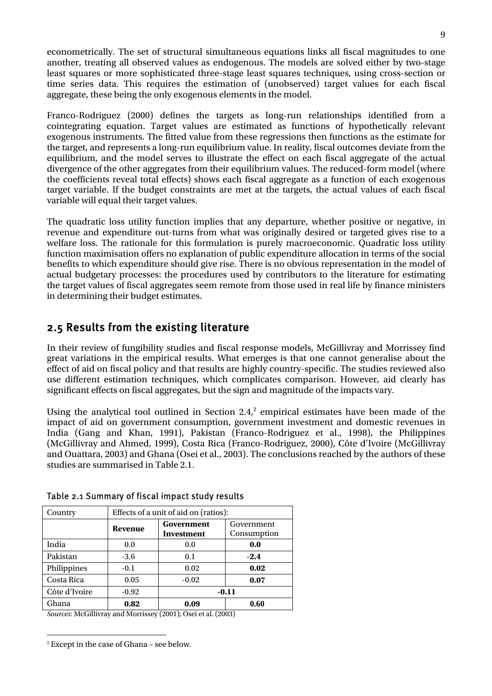<span id="page-16-0"></span>econometrically. The set of structural simultaneous equations links all fiscal magnitudes to one another, treating all observed values as endogenous. The models are solved either by two-stage least squares or more sophisticated three-stage least squares techniques, using cross-section or time series data. This requires the estimation of (unobserved) target values for each fiscal aggregate, these being the only exogenous elements in the model.

Franco-Rodriguez (2000) defines the targets as long-run relationships identified from a cointegrating equation. Target values are estimated as functions of hypothetically relevant exogenous instruments. The fitted value from these regressions then functions as the estimate for the target, and represents a long-run equilibrium value. In reality, fiscal outcomes deviate from the equilibrium, and the model serves to illustrate the effect on each fiscal aggregate of the actual divergence of the other aggregates from their equilibrium values. The reduced-form model (where the coefficients reveal total effects) shows each fiscal aggregate as a function of each exogenous target variable. If the budget constraints are met at the targets, the actual values of each fiscal variable will equal their target values.

The quadratic loss utility function implies that any departure, whether positive or negative, in revenue and expenditure out-turns from what was originally desired or targeted gives rise to a welfare loss. The rationale for this formulation is purely macroeconomic. Quadratic loss utility function maximisation offers no explanation of public expenditure allocation in terms of the social benefits to which expenditure should give rise. There is no obvious representation in the model of actual budgetary processes: the procedures used by contributors to the literature for estimating the target values of fiscal aggregates seem remote from those used in real life by finance ministers in determining their budget estimates.

### 2.5 Results from the existing literature

In their review of fungibility studies and fiscal response models, McGillivray and Morrissey find great variations in the empirical results. What emerges is that one cannot generalise about the effect of aid on fiscal policy and that results are highly country-specific. The studies reviewed also use different estimation techniques, which complicates comparison. However, aid clearly has significant effects on fiscal aggregates, but the sign and magnitude of the impacts vary.

Using the analytical tool outlined in Section  $2.4$  $2.4$ , empirical estimates have been made of the impact of aid on government consumption, government investment and domestic revenues in India (Gang and Khan, 1991), Pakistan (Franco-Rodriguez et al., 1998), the Philippines (McGillivray and Ahmed, 1999), Costa Rica (Franco-Rodriguez, 2000), Côte d'Ivoire (McGillivray and Ouattara, 2003) and Ghana (Osei et al., 2003). The conclusions reached by the authors of these studies are summarised in Table 2.1.

| Country       | Effects of a unit of aid on (ratios): |                                                              |         |  |  |  |
|---------------|---------------------------------------|--------------------------------------------------------------|---------|--|--|--|
|               | Revenue                               | Government<br>Government<br>Consumption<br><b>Investment</b> |         |  |  |  |
| India         | 0.0                                   | 0.0                                                          | 0.0     |  |  |  |
| Pakistan      | $-3.6$                                | 0.1                                                          | $-2.4$  |  |  |  |
| Philippines   | $-0.1$                                | 0.02                                                         | 0.02    |  |  |  |
| Costa Rica    | 0.05                                  | $-0.02$                                                      | 0.07    |  |  |  |
| Côte d'Ivoire | $-0.92$                               |                                                              | $-0.11$ |  |  |  |
| Ghana         | 0.82                                  | 0.09                                                         | 0.60    |  |  |  |

Table 2.1 Summary of fiscal impact study results

*Sources*: McGillivray and Morrissey (2001); Osei et al. (2003)

<span id="page-16-1"></span> $\frac{1}{2}$ Except in the case of Ghana – see below.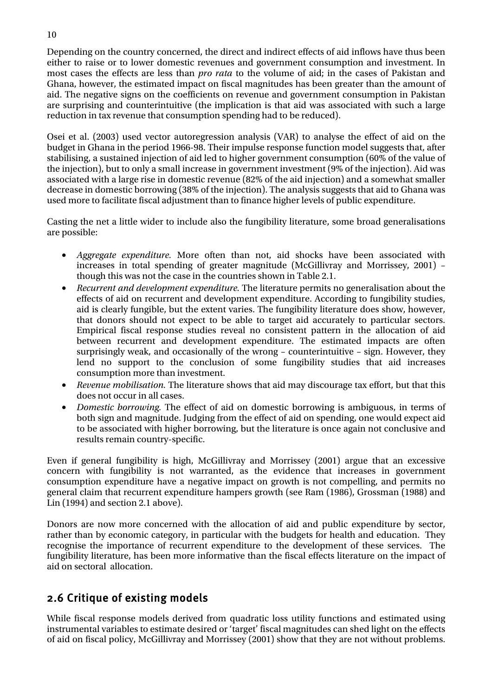<span id="page-17-0"></span>Depending on the country concerned, the direct and indirect effects of aid inflows have thus been either to raise or to lower domestic revenues and government consumption and investment. In most cases the effects are less than *pro rata* to the volume of aid; in the cases of Pakistan and Ghana, however, the estimated impact on fiscal magnitudes has been greater than the amount of aid. The negative signs on the coefficients on revenue and government consumption in Pakistan are surprising and counterintuitive (the implication is that aid was associated with such a large reduction in tax revenue that consumption spending had to be reduced).

Osei et al. (2003) used vector autoregression analysis (VAR) to analyse the effect of aid on the budget in Ghana in the period 1966-98. Their impulse response function model suggests that, after stabilising, a sustained injection of aid led to higher government consumption (60% of the value of the injection), but to only a small increase in government investment (9% of the injection). Aid was associated with a large rise in domestic revenue (82% of the aid injection) and a somewhat smaller decrease in domestic borrowing (38% of the injection). The analysis suggests that aid to Ghana was used more to facilitate fiscal adjustment than to finance higher levels of public expenditure.

Casting the net a little wider to include also the fungibility literature, some broad generalisations are possible:

- *Aggregate expenditure.* More often than not, aid shocks have been associated with increases in total spending of greater magnitude (McGillivray and Morrissey, 2001) – though this was not the case in the countries shown in Table 2.1.
- *Recurrent and development expenditure.* The literature permits no generalisation about the effects of aid on recurrent and development expenditure. According to fungibility studies, aid is clearly fungible, but the extent varies. The fungibility literature does show, however, that donors should not expect to be able to target aid accurately to particular sectors. Empirical fiscal response studies reveal no consistent pattern in the allocation of aid between recurrent and development expenditure. The estimated impacts are often surprisingly weak, and occasionally of the wrong – counterintuitive – sign. However, they lend no support to the conclusion of some fungibility studies that aid increases consumption more than investment.
- *Revenue mobilisation.* The literature shows that aid may discourage tax effort, but that this does not occur in all cases.
- *Domestic borrowing.* The effect of aid on domestic borrowing is ambiguous, in terms of both sign and magnitude. Judging from the effect of aid on spending, one would expect aid to be associated with higher borrowing, but the literature is once again not conclusive and results remain country-specific.

Even if general fungibility is high, McGillivray and Morrissey (2001) argue that an excessive concern with fungibility is not warranted, as the evidence that increases in government consumption expenditure have a negative impact on growth is not compelling, and permits no general claim that recurrent expenditure hampers growth (see Ram (1986), Grossman (1988) and Lin (1994) and section 2.1 above).

Donors are now more concerned with the allocation of aid and public expenditure by sector, rather than by economic category, in particular with the budgets for health and education. They recognise the importance of recurrent expenditure to the development of these services. The fungibility literature, has been more informative than the fiscal effects literature on the impact of aid on sectoral allocation.

## 2.6 Critique of existing models

While fiscal response models derived from quadratic loss utility functions and estimated using instrumental variables to estimate desired or 'target' fiscal magnitudes can shed light on the effects of aid on fiscal policy, McGillivray and Morrissey (2001) show that they are not without problems.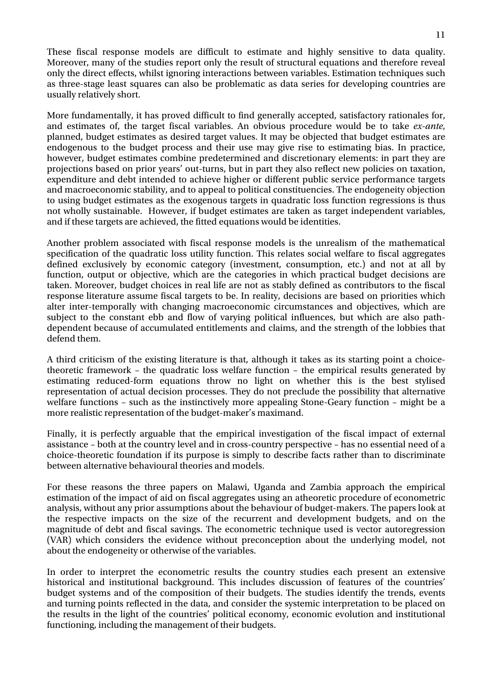These fiscal response models are difficult to estimate and highly sensitive to data quality. Moreover, many of the studies report only the result of structural equations and therefore reveal only the direct effects, whilst ignoring interactions between variables. Estimation techniques such as three-stage least squares can also be problematic as data series for developing countries are usually relatively short.

More fundamentally, it has proved difficult to find generally accepted, satisfactory rationales for, and estimates of, the target fiscal variables. An obvious procedure would be to take *ex-ante*, planned, budget estimates as desired target values. It may be objected that budget estimates are endogenous to the budget process and their use may give rise to estimating bias. In practice, however, budget estimates combine predetermined and discretionary elements: in part they are projections based on prior years' out-turns, but in part they also reflect new policies on taxation, expenditure and debt intended to achieve higher or different public service performance targets and macroeconomic stability, and to appeal to political constituencies. The endogeneity objection to using budget estimates as the exogenous targets in quadratic loss function regressions is thus not wholly sustainable. However, if budget estimates are taken as target independent variables, and if these targets are achieved, the fitted equations would be identities.

Another problem associated with fiscal response models is the unrealism of the mathematical specification of the quadratic loss utility function. This relates social welfare to fiscal aggregates defined exclusively by economic category (investment, consumption, etc.) and not at all by function, output or objective, which are the categories in which practical budget decisions are taken. Moreover, budget choices in real life are not as stably defined as contributors to the fiscal response literature assume fiscal targets to be. In reality, decisions are based on priorities which alter inter-temporally with changing macroeconomic circumstances and objectives, which are subject to the constant ebb and flow of varying political influences, but which are also pathdependent because of accumulated entitlements and claims, and the strength of the lobbies that defend them.

A third criticism of the existing literature is that, although it takes as its starting point a choicetheoretic framework – the quadratic loss welfare function – the empirical results generated by estimating reduced-form equations throw no light on whether this is the best stylised representation of actual decision processes. They do not preclude the possibility that alternative welfare functions – such as the instinctively more appealing Stone-Geary function – might be a more realistic representation of the budget-maker's maximand.

Finally, it is perfectly arguable that the empirical investigation of the fiscal impact of external assistance – both at the country level and in cross-country perspective – has no essential need of a choice-theoretic foundation if its purpose is simply to describe facts rather than to discriminate between alternative behavioural theories and models.

For these reasons the three papers on Malawi, Uganda and Zambia approach the empirical estimation of the impact of aid on fiscal aggregates using an atheoretic procedure of econometric analysis, without any prior assumptions about the behaviour of budget-makers. The papers look at the respective impacts on the size of the recurrent and development budgets, and on the magnitude of debt and fiscal savings. The econometric technique used is vector autoregression (VAR) which considers the evidence without preconception about the underlying model, not about the endogeneity or otherwise of the variables.

In order to interpret the econometric results the country studies each present an extensive historical and institutional background. This includes discussion of features of the countries' budget systems and of the composition of their budgets. The studies identify the trends, events and turning points reflected in the data, and consider the systemic interpretation to be placed on the results in the light of the countries' political economy, economic evolution and institutional functioning, including the management of their budgets.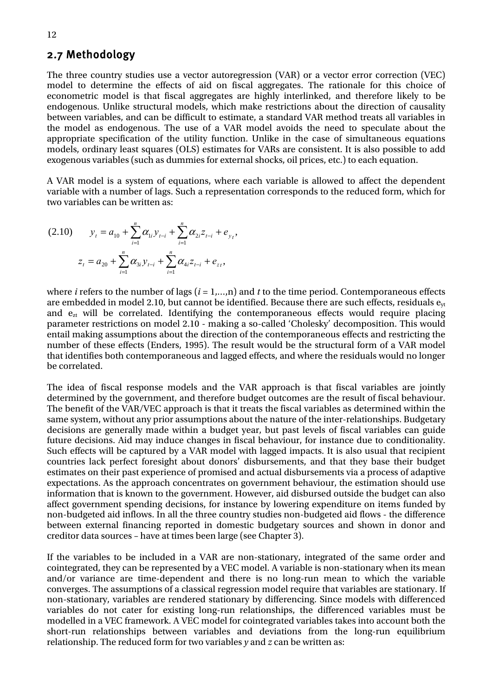#### <span id="page-19-0"></span>2.7 Methodology

The three country studies use a vector autoregression (VAR) or a vector error correction (VEC) model to determine the effects of aid on fiscal aggregates. The rationale for this choice of econometric model is that fiscal aggregates are highly interlinked, and therefore likely to be endogenous. Unlike structural models, which make restrictions about the direction of causality between variables, and can be difficult to estimate, a standard VAR method treats all variables in the model as endogenous. The use of a VAR model avoids the need to speculate about the appropriate specification of the utility function. Unlike in the case of simultaneous equations models, ordinary least squares (OLS) estimates for VARs are consistent. It is also possible to add exogenous variables (such as dummies for external shocks, oil prices, etc.) to each equation.

A VAR model is a system of equations, where each variable is allowed to affect the dependent variable with a number of lags. Such a representation corresponds to the reduced form, which for two variables can be written as:

$$
(2.10) \t yt = a10 + \sum_{i=1}^{n} \alpha_{1i} y_{t-i} + \sum_{i=1}^{n} \alpha_{2i} z_{t-i} + e_{y_t},
$$

$$
zt = a20 + \sum_{i=1}^{n} \alpha_{3i} y_{t-i} + \sum_{i=1}^{n} \alpha_{4i} z_{t-i} + e_{z_t},
$$

where *i* refers to the number of lags (*i* = 1,…,n) and *t* to the time period. Contemporaneous effects are embedded in model 2.10, but cannot be identified. Because there are such effects, residuals  $e_{vt}$ and  $e_{zt}$  will be correlated. Identifying the contemporaneous effects would require placing parameter restrictions on model 2.10 - making a so-called 'Cholesky' decomposition. This would entail making assumptions about the direction of the contemporaneous effects and restricting the number of these effects (Enders, 1995). The result would be the structural form of a VAR model that identifies both contemporaneous and lagged effects, and where the residuals would no longer be correlated.

The idea of fiscal response models and the VAR approach is that fiscal variables are jointly determined by the government, and therefore budget outcomes are the result of fiscal behaviour. The benefit of the VAR/VEC approach is that it treats the fiscal variables as determined within the same system, without any prior assumptions about the nature of the inter-relationships. Budgetary decisions are generally made within a budget year, but past levels of fiscal variables can guide future decisions. Aid may induce changes in fiscal behaviour, for instance due to conditionality. Such effects will be captured by a VAR model with lagged impacts. It is also usual that recipient countries lack perfect foresight about donors' disbursements, and that they base their budget estimates on their past experience of promised and actual disbursements via a process of adaptive expectations. As the approach concentrates on government behaviour, the estimation should use information that is known to the government. However, aid disbursed outside the budget can also affect government spending decisions, for instance by lowering expenditure on items funded by non-budgeted aid inflows. In all the three country studies non-budgeted aid flows - the difference between external financing reported in domestic budgetary sources and shown in donor and creditor data sources – have at times been large (see Chapter 3).

If the variables to be included in a VAR are non-stationary, integrated of the same order and cointegrated, they can be represented by a VEC model. A variable is non-stationary when its mean and/or variance are time-dependent and there is no long-run mean to which the variable converges. The assumptions of a classical regression model require that variables are stationary. If non-stationary, variables are rendered stationary by differencing. Since models with differenced variables do not cater for existing long-run relationships, the differenced variables must be modelled in a VEC framework. A VEC model for cointegrated variables takes into account both the short-run relationships between variables and deviations from the long-run equilibrium relationship. The reduced form for two variables *y* and *z* can be written as: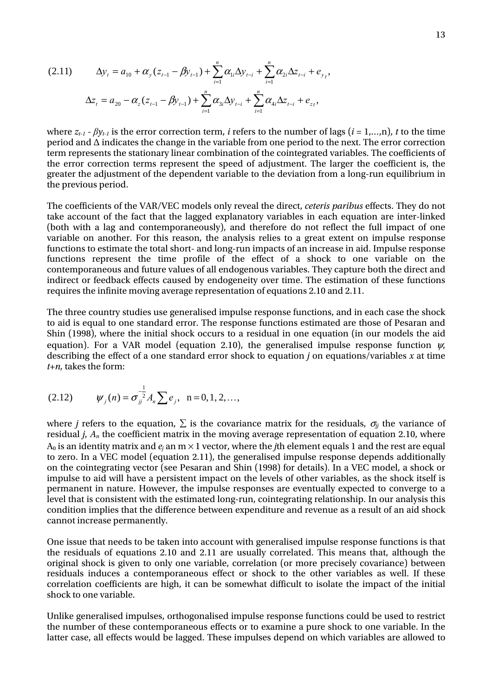$$
(2.11) \qquad \Delta y_t = a_{10} + \alpha_y (z_{t-1} - \beta y_{t-1}) + \sum_{i=1}^n \alpha_{1i} \Delta y_{t-i} + \sum_{i=1}^n \alpha_{2i} \Delta z_{t-i} + e_{y_t},
$$
\n
$$
\Delta z_t = a_{20} - \alpha_z (z_{t-1} - \beta y_{t-1}) + \sum_{i=1}^n \alpha_{3i} \Delta y_{t-i} + \sum_{i=1}^n \alpha_{4i} \Delta z_{t-i} + e_{zt},
$$

where  $z_{t-1}$  -  $\beta y_{t-1}$  is the error correction term, *i* refers to the number of lags (*i* = 1,…,n), *t* to the time period and  $\Delta$  indicates the change in the variable from one period to the next. The error correction term represents the stationary linear combination of the cointegrated variables. The coefficients of the error correction terms represent the speed of adjustment. The larger the coefficient is, the greater the adjustment of the dependent variable to the deviation from a long-run equilibrium in the previous period.

The coefficients of the VAR/VEC models only reveal the direct, *ceteris paribus* effects. They do not take account of the fact that the lagged explanatory variables in each equation are inter-linked (both with a lag and contemporaneously), and therefore do not reflect the full impact of one variable on another. For this reason, the analysis relies to a great extent on impulse response functions to estimate the total short- and long-run impacts of an increase in aid. Impulse response functions represent the time profile of the effect of a shock to one variable on the contemporaneous and future values of all endogenous variables. They capture both the direct and indirect or feedback effects caused by endogeneity over time. The estimation of these functions requires the infinite moving average representation of equations 2.10 and 2.11.

The three country studies use generalised impulse response functions, and in each case the shock to aid is equal to one standard error. The response functions estimated are those of Pesaran and Shin (1998), where the initial shock occurs to a residual in one equation (in our models the aid equation). For a VAR model (equation 2.10), the generalised impulse response function  $\psi$ , describing the effect of a one standard error shock to equation *j* on equations/variables *x* at time *t+n,* takes the form:

(2.12) 
$$
\psi_j(n) = \sigma_{jj}^{-\frac{1}{2}} A_n \sum e_j, \ \ n = 0, 1, 2, \dots,
$$

where *j* refers to the equation,  $\Sigma$  is the covariance matrix for the residuals,  $\sigma_{ij}$  the variance of residual *j*, *An* the coefficient matrix in the moving average representation of equation 2.10, where  $A_0$  is an identity matrix and  $e_i$  an  $m \times 1$  vector, where the *j*th element equals 1 and the rest are equal to zero. In a VEC model (equation 2.11), the generalised impulse response depends additionally on the cointegrating vector (see Pesaran and Shin (1998) for details). In a VEC model, a shock or impulse to aid will have a persistent impact on the levels of other variables, as the shock itself is permanent in nature. However, the impulse responses are eventually expected to converge to a level that is consistent with the estimated long-run, cointegrating relationship. In our analysis this condition implies that the difference between expenditure and revenue as a result of an aid shock cannot increase permanently.

One issue that needs to be taken into account with generalised impulse response functions is that the residuals of equations 2.10 and 2.11 are usually correlated. This means that, although the original shock is given to only one variable, correlation (or more precisely covariance) between residuals induces a contemporaneous effect or shock to the other variables as well. If these correlation coefficients are high, it can be somewhat difficult to isolate the impact of the initial shock to one variable.

Unlike generalised impulses, orthogonalised impulse response functions could be used to restrict the number of these contemporaneous effects or to examine a pure shock to one variable. In the latter case, all effects would be lagged. These impulses depend on which variables are allowed to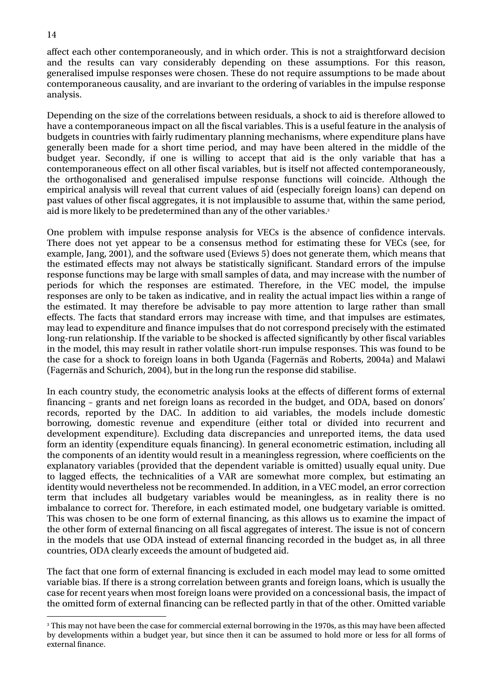affect each other contemporaneously, and in which order. This is not a straightforward decision and the results can vary considerably depending on these assumptions. For this reason, generalised impulse responses were chosen. These do not require assumptions to be made about contemporaneous causality, and are invariant to the ordering of variables in the impulse response analysis.

Depending on the size of the correlations between residuals, a shock to aid is therefore allowed to have a contemporaneous impact on all the fiscal variables. This is a useful feature in the analysis of budgets in countries with fairly rudimentary planning mechanisms, where expenditure plans have generally been made for a short time period, and may have been altered in the middle of the budget year. Secondly, if one is willing to accept that aid is the only variable that has a contemporaneous effect on all other fiscal variables, but is itself not affected contemporaneously, the orthogonalised and generalised impulse response functions will coincide. Although the empirical analysis will reveal that current values of aid (especially foreign loans) can depend on past values of other fiscal aggregates, it is not implausible to assume that, within the same period, aid is more likely to be predetermined than any of the other variables.[3](#page-21-0)

One problem with impulse response analysis for VECs is the absence of confidence intervals. There does not yet appear to be a consensus method for estimating these for VECs (see, for example, Jang, 2001), and the software used (Eviews 5) does not generate them, which means that the estimated effects may not always be statistically significant. Standard errors of the impulse response functions may be large with small samples of data, and may increase with the number of periods for which the responses are estimated. Therefore, in the VEC model, the impulse responses are only to be taken as indicative, and in reality the actual impact lies within a range of the estimated. It may therefore be advisable to pay more attention to large rather than small effects. The facts that standard errors may increase with time, and that impulses are estimates, may lead to expenditure and finance impulses that do not correspond precisely with the estimated long-run relationship. If the variable to be shocked is affected significantly by other fiscal variables in the model, this may result in rather volatile short-run impulse responses. This was found to be the case for a shock to foreign loans in both Uganda (Fagernäs and Roberts, 2004a) and Malawi (Fagernäs and Schurich, 2004), but in the long run the response did stabilise.

In each country study, the econometric analysis looks at the effects of different forms of external financing – grants and net foreign loans as recorded in the budget, and ODA, based on donors' records, reported by the DAC. In addition to aid variables, the models include domestic borrowing, domestic revenue and expenditure (either total or divided into recurrent and development expenditure). Excluding data discrepancies and unreported items, the data used form an identity (expenditure equals financing). In general econometric estimation, including all the components of an identity would result in a meaningless regression, where coefficients on the explanatory variables (provided that the dependent variable is omitted) usually equal unity. Due to lagged effects, the technicalities of a VAR are somewhat more complex, but estimating an identity would nevertheless not be recommended. In addition, in a VEC model, an error correction term that includes all budgetary variables would be meaningless, as in reality there is no imbalance to correct for. Therefore, in each estimated model, one budgetary variable is omitted. This was chosen to be one form of external financing, as this allows us to examine the impact of the other form of external financing on all fiscal aggregates of interest. The issue is not of concern in the models that use ODA instead of external financing recorded in the budget as, in all three countries, ODA clearly exceeds the amount of budgeted aid.

The fact that one form of external financing is excluded in each model may lead to some omitted variable bias. If there is a strong correlation between grants and foreign loans, which is usually the case for recent years when most foreign loans were provided on a concessional basis, the impact of the omitted form of external financing can be reflected partly in that of the other. Omitted variable

#### 14

<span id="page-21-0"></span><sup>-&</sup>lt;br>3 <sup>3</sup> This may not have been the case for commercial external borrowing in the 1970s, as this may have been affected by developments within a budget year, but since then it can be assumed to hold more or less for all forms of external finance.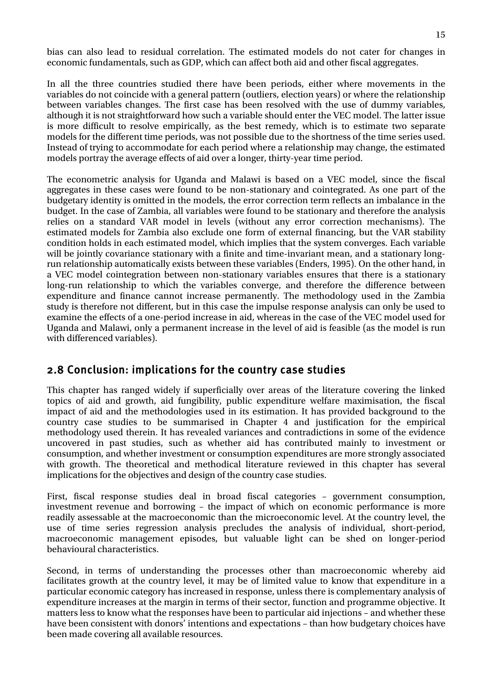<span id="page-22-0"></span>bias can also lead to residual correlation. The estimated models do not cater for changes in economic fundamentals, such as GDP, which can affect both aid and other fiscal aggregates.

In all the three countries studied there have been periods, either where movements in the variables do not coincide with a general pattern (outliers, election years) or where the relationship between variables changes. The first case has been resolved with the use of dummy variables, although it is not straightforward how such a variable should enter the VEC model. The latter issue is more difficult to resolve empirically, as the best remedy, which is to estimate two separate models for the different time periods, was not possible due to the shortness of the time series used. Instead of trying to accommodate for each period where a relationship may change, the estimated models portray the average effects of aid over a longer, thirty-year time period.

The econometric analysis for Uganda and Malawi is based on a VEC model, since the fiscal aggregates in these cases were found to be non-stationary and cointegrated. As one part of the budgetary identity is omitted in the models, the error correction term reflects an imbalance in the budget. In the case of Zambia, all variables were found to be stationary and therefore the analysis relies on a standard VAR model in levels (without any error correction mechanisms). The estimated models for Zambia also exclude one form of external financing, but the VAR stability condition holds in each estimated model, which implies that the system converges. Each variable will be jointly covariance stationary with a finite and time-invariant mean, and a stationary longrun relationship automatically exists between these variables (Enders, 1995). On the other hand, in a VEC model cointegration between non-stationary variables ensures that there is a stationary long-run relationship to which the variables converge, and therefore the difference between expenditure and finance cannot increase permanently. The methodology used in the Zambia study is therefore not different, but in this case the impulse response analysis can only be used to examine the effects of a one-period increase in aid, whereas in the case of the VEC model used for Uganda and Malawi, only a permanent increase in the level of aid is feasible (as the model is run with differenced variables).

### 2.8 Conclusion: implications for the country case studies

This chapter has ranged widely if superficially over areas of the literature covering the linked topics of aid and growth, aid fungibility, public expenditure welfare maximisation, the fiscal impact of aid and the methodologies used in its estimation. It has provided background to the country case studies to be summarised in Chapter 4 and justification for the empirical methodology used therein. It has revealed variances and contradictions in some of the evidence uncovered in past studies, such as whether aid has contributed mainly to investment or consumption, and whether investment or consumption expenditures are more strongly associated with growth. The theoretical and methodical literature reviewed in this chapter has several implications for the objectives and design of the country case studies.

First, fiscal response studies deal in broad fiscal categories – government consumption, investment revenue and borrowing – the impact of which on economic performance is more readily assessable at the macroeconomic than the microeconomic level. At the country level, the use of time series regression analysis precludes the analysis of individual, short-period, macroeconomic management episodes, but valuable light can be shed on longer-period behavioural characteristics.

Second, in terms of understanding the processes other than macroeconomic whereby aid facilitates growth at the country level, it may be of limited value to know that expenditure in a particular economic category has increased in response, unless there is complementary analysis of expenditure increases at the margin in terms of their sector, function and programme objective. It matters less to know what the responses have been to particular aid injections – and whether these have been consistent with donors' intentions and expectations – than how budgetary choices have been made covering all available resources.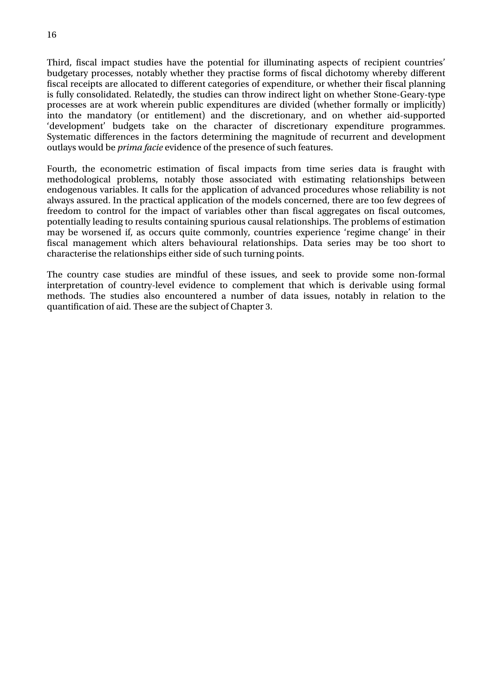Third, fiscal impact studies have the potential for illuminating aspects of recipient countries' budgetary processes, notably whether they practise forms of fiscal dichotomy whereby different fiscal receipts are allocated to different categories of expenditure, or whether their fiscal planning is fully consolidated. Relatedly, the studies can throw indirect light on whether Stone-Geary-type processes are at work wherein public expenditures are divided (whether formally or implicitly) into the mandatory (or entitlement) and the discretionary, and on whether aid-supported 'development' budgets take on the character of discretionary expenditure programmes. Systematic differences in the factors determining the magnitude of recurrent and development outlays would be *prima facie* evidence of the presence of such features.

Fourth, the econometric estimation of fiscal impacts from time series data is fraught with methodological problems, notably those associated with estimating relationships between endogenous variables. It calls for the application of advanced procedures whose reliability is not always assured. In the practical application of the models concerned, there are too few degrees of freedom to control for the impact of variables other than fiscal aggregates on fiscal outcomes, potentially leading to results containing spurious causal relationships. The problems of estimation may be worsened if, as occurs quite commonly, countries experience 'regime change' in their fiscal management which alters behavioural relationships. Data series may be too short to characterise the relationships either side of such turning points.

The country case studies are mindful of these issues, and seek to provide some non-formal interpretation of country-level evidence to complement that which is derivable using formal methods. The studies also encountered a number of data issues, notably in relation to the quantification of aid. These are the subject of Chapter 3.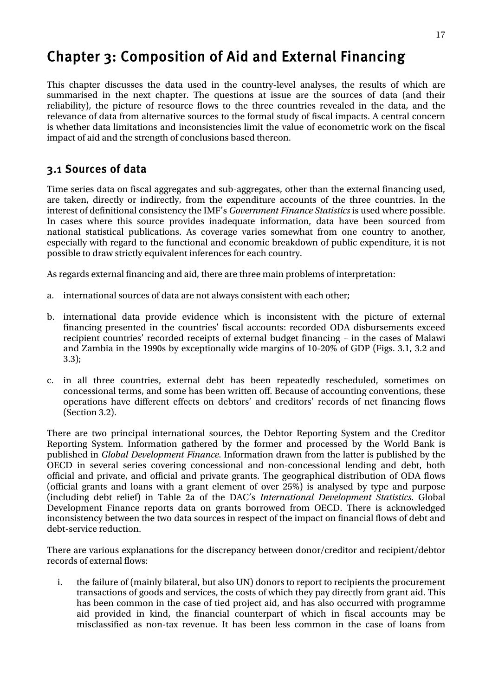## <span id="page-24-0"></span>Chapter 3: Composition of Aid and External Financing

This chapter discusses the data used in the country-level analyses, the results of which are summarised in the next chapter. The questions at issue are the sources of data (and their reliability), the picture of resource flows to the three countries revealed in the data, and the relevance of data from alternative sources to the formal study of fiscal impacts. A central concern is whether data limitations and inconsistencies limit the value of econometric work on the fiscal impact of aid and the strength of conclusions based thereon.

### 3.1 Sources of data

Time series data on fiscal aggregates and sub-aggregates, other than the external financing used, are taken, directly or indirectly, from the expenditure accounts of the three countries. In the interest of definitional consistency the IMF's *Government Finance Statistics* is used where possible. In cases where this source provides inadequate information, data have been sourced from national statistical publications. As coverage varies somewhat from one country to another, especially with regard to the functional and economic breakdown of public expenditure, it is not possible to draw strictly equivalent inferences for each country.

As regards external financing and aid, there are three main problems of interpretation:

- a. international sources of data are not always consistent with each other;
- b. international data provide evidence which is inconsistent with the picture of external financing presented in the countries' fiscal accounts: recorded ODA disbursements exceed recipient countries' recorded receipts of external budget financing – in the cases of Malawi and Zambia in the 1990s by exceptionally wide margins of 10-20% of GDP (Figs. 3.1, 3.2 and 3.3);
- c. in all three countries, external debt has been repeatedly rescheduled, sometimes on concessional terms, and some has been written off. Because of accounting conventions, these operations have different effects on debtors' and creditors' records of net financing flows (Section 3.2).

There are two principal international sources, the Debtor Reporting System and the Creditor Reporting System. Information gathered by the former and processed by the World Bank is published in *Global Development Finance*. Information drawn from the latter is published by the OECD in several series covering concessional and non-concessional lending and debt, both official and private, and official and private grants. The geographical distribution of ODA flows (official grants and loans with a grant element of over 25%) is analysed by type and purpose (including debt relief) in Table 2a of the DAC's *International Development Statistics*. Global Development Finance reports data on grants borrowed from OECD. There is acknowledged inconsistency between the two data sources in respect of the impact on financial flows of debt and debt-service reduction.

There are various explanations for the discrepancy between donor/creditor and recipient/debtor records of external flows:

i. the failure of (mainly bilateral, but also UN) donors to report to recipients the procurement transactions of goods and services, the costs of which they pay directly from grant aid. This has been common in the case of tied project aid, and has also occurred with programme aid provided in kind, the financial counterpart of which in fiscal accounts may be misclassified as non-tax revenue. It has been less common in the case of loans from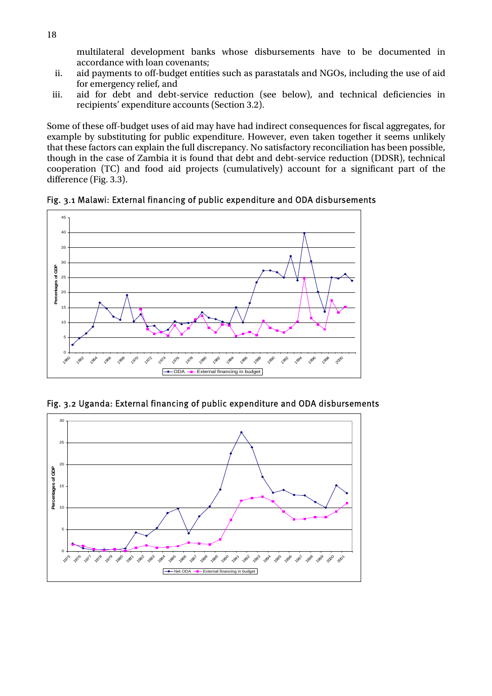multilateral development banks whose disbursements have to be documented in accordance with loan covenants;

- <span id="page-25-0"></span>ii. aid payments to off-budget entities such as parastatals and NGOs, including the use of aid for emergency relief, and
- iii. aid for debt and debt-service reduction (see below), and technical deficiencies in recipients' expenditure accounts (Section 3.2).

Some of these off-budget uses of aid may have had indirect consequences for fiscal aggregates, for example by substituting for public expenditure. However, even taken together it seems unlikely that these factors can explain the full discrepancy. No satisfactory reconciliation has been possible, though in the case of Zambia it is found that debt and debt-service reduction (DDSR), technical cooperation (TC) and food aid projects (cumulatively) account for a significant part of the difference (Fig. 3.3).

Fig. 3.1 Malawi: External financing of public expenditure and ODA disbursements



Fig. 3.2 Uganda: External financing of public expenditure and ODA disbursements

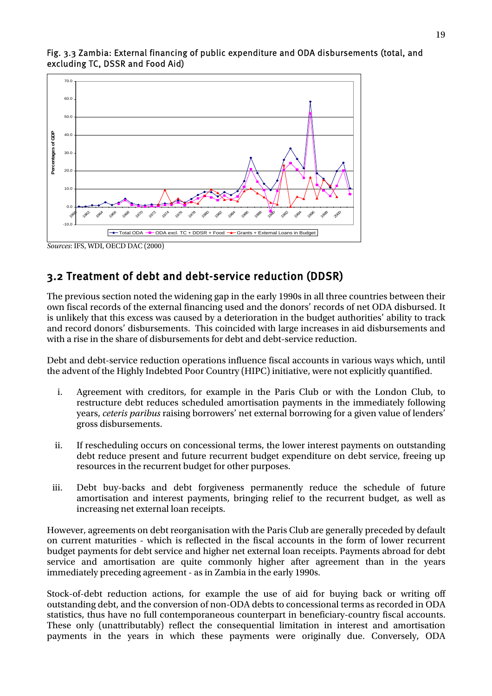

#### <span id="page-26-0"></span>Fig. 3.3 Zambia: External financing of public expenditure and ODA disbursements (total, and excluding TC, DSSR and Food Aid)

### 3.2 Treatment of debt and debt-service reduction (DDSR)

The previous section noted the widening gap in the early 1990s in all three countries between their own fiscal records of the external financing used and the donors' records of net ODA disbursed. It is unlikely that this excess was caused by a deterioration in the budget authorities' ability to track and record donors' disbursements. This coincided with large increases in aid disbursements and with a rise in the share of disbursements for debt and debt-service reduction.

Debt and debt-service reduction operations influence fiscal accounts in various ways which, until the advent of the Highly Indebted Poor Country (HIPC) initiative, were not explicitly quantified.

- i. Agreement with creditors, for example in the Paris Club or with the London Club, to restructure debt reduces scheduled amortisation payments in the immediately following years, *ceteris paribus* raising borrowers' net external borrowing for a given value of lenders' gross disbursements.
- ii. If rescheduling occurs on concessional terms, the lower interest payments on outstanding debt reduce present and future recurrent budget expenditure on debt service, freeing up resources in the recurrent budget for other purposes.
- iii. Debt buy-backs and debt forgiveness permanently reduce the schedule of future amortisation and interest payments, bringing relief to the recurrent budget, as well as increasing net external loan receipts.

However, agreements on debt reorganisation with the Paris Club are generally preceded by default on current maturities - which is reflected in the fiscal accounts in the form of lower recurrent budget payments for debt service and higher net external loan receipts. Payments abroad for debt service and amortisation are quite commonly higher after agreement than in the years immediately preceding agreement - as in Zambia in the early 1990s.

Stock-of-debt reduction actions, for example the use of aid for buying back or writing off outstanding debt, and the conversion of non-ODA debts to concessional terms as recorded in ODA statistics, thus have no full contemporaneous counterpart in beneficiary-country fiscal accounts. These only (unattributably) reflect the consequential limitation in interest and amortisation payments in the years in which these payments were originally due. Conversely, ODA

*Sources*: IFS, WDI, OECD DAC (2000)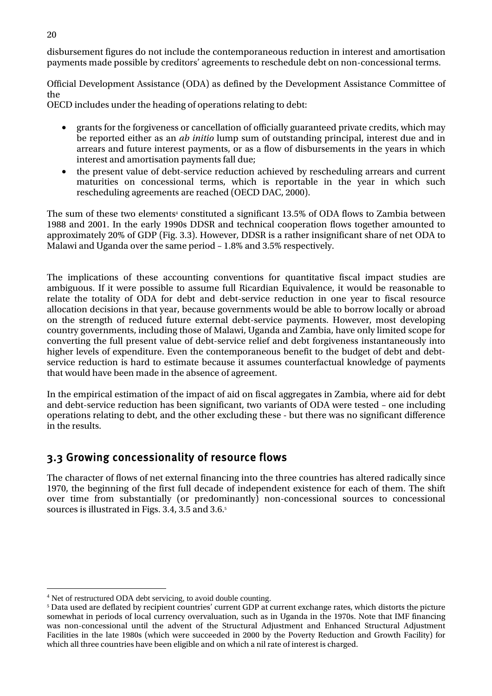<span id="page-27-0"></span>disbursement figures do not include the contemporaneous reduction in interest and amortisation payments made possible by creditors' agreements to reschedule debt on non-concessional terms.

Official Development Assistance (ODA) as defined by the Development Assistance Committee of the

OECD includes under the heading of operations relating to debt:

- grants for the forgiveness or cancellation of officially guaranteed private credits, which may be reported either as an *ab initio* lump sum of outstanding principal, interest due and in arrears and future interest payments, or as a flow of disbursements in the years in which interest and amortisation payments fall due;
- the present value of debt-service reduction achieved by rescheduling arrears and current maturities on concessional terms, which is reportable in the year in which such rescheduling agreements are reached (OECD DAC, 2000).

The sum of these two elements $\cdot$  constituted a significant 13.5% of ODA flows to Zambia between 1988 and 2001. In the early 1990s DDSR and technical cooperation flows together amounted to approximately 20% of GDP (Fig. 3.3). However, DDSR is a rather insignificant share of net ODA to Malawi and Uganda over the same period – 1.8% and 3.5% respectively.

The implications of these accounting conventions for quantitative fiscal impact studies are ambiguous. If it were possible to assume full Ricardian Equivalence, it would be reasonable to relate the totality of ODA for debt and debt-service reduction in one year to fiscal resource allocation decisions in that year, because governments would be able to borrow locally or abroad on the strength of reduced future external debt-service payments. However, most developing country governments, including those of Malawi, Uganda and Zambia, have only limited scope for converting the full present value of debt-service relief and debt forgiveness instantaneously into higher levels of expenditure. Even the contemporaneous benefit to the budget of debt and debtservice reduction is hard to estimate because it assumes counterfactual knowledge of payments that would have been made in the absence of agreement.

In the empirical estimation of the impact of aid on fiscal aggregates in Zambia, where aid for debt and debt-service reduction has been significant, two variants of ODA were tested – one including operations relating to debt, and the other excluding these - but there was no significant difference in the results.

### 3.3 Growing concessionality of resource flows

The character of flows of net external financing into the three countries has altered radically since 1970, the beginning of the first full decade of independent existence for each of them. The shift over time from substantially (or predominantly) non-concessional sources to concessional sources is illustrated in Figs. 3.4, 3.5 and 3.6. [5](#page-27-2)

 $\overline{a}$ 

<span id="page-27-1"></span><sup>4</sup> Net of restructured ODA debt servicing, to avoid double counting.

<span id="page-27-2"></span> $^{\rm 5}$  Data used are deflated by recipient countries' current GDP at current exchange rates, which distorts the picture somewhat in periods of local currency overvaluation, such as in Uganda in the 1970s. Note that IMF financing was non-concessional until the advent of the Structural Adjustment and Enhanced Structural Adjustment Facilities in the late 1980s (which were succeeded in 2000 by the Poverty Reduction and Growth Facility) for which all three countries have been eligible and on which a nil rate of interest is charged.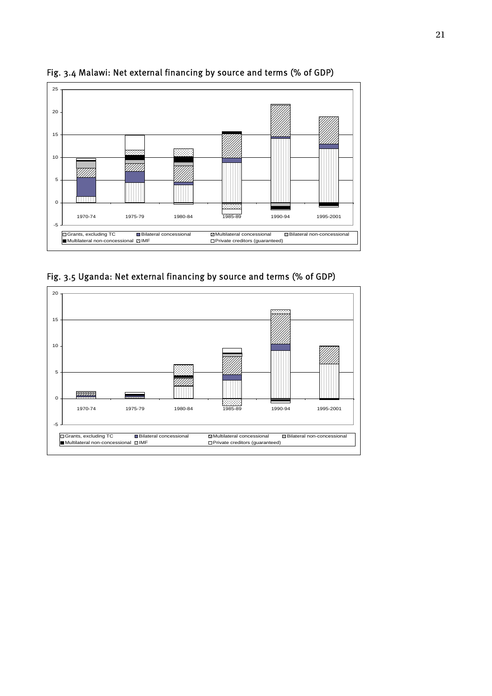

<span id="page-28-0"></span>Fig. 3.4 Malawi: Net external financing by source and terms (% of GDP)

Fig. 3.5 Uganda: Net external financing by source and terms (% of GDP)

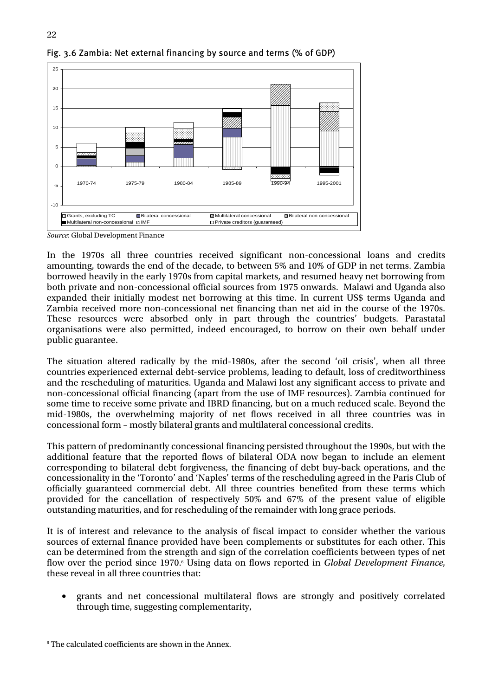

#### <span id="page-29-0"></span>Fig. 3.6 Zambia: Net external financing by source and terms (% of GDP)

*Source*: Global Development Finance

In the 1970s all three countries received significant non-concessional loans and credits amounting, towards the end of the decade, to between 5% and 10% of GDP in net terms. Zambia borrowed heavily in the early 1970s from capital markets, and resumed heavy net borrowing from both private and non-concessional official sources from 1975 onwards. Malawi and Uganda also expanded their initially modest net borrowing at this time. In current US\$ terms Uganda and Zambia received more non-concessional net financing than net aid in the course of the 1970s. These resources were absorbed only in part through the countries' budgets. Parastatal organisations were also permitted, indeed encouraged, to borrow on their own behalf under public guarantee.

The situation altered radically by the mid-1980s, after the second 'oil crisis', when all three countries experienced external debt-service problems, leading to default, loss of creditworthiness and the rescheduling of maturities. Uganda and Malawi lost any significant access to private and non-concessional official financing (apart from the use of IMF resources). Zambia continued for some time to receive some private and IBRD financing, but on a much reduced scale. Beyond the mid-1980s, the overwhelming majority of net flows received in all three countries was in concessional form – mostly bilateral grants and multilateral concessional credits.

This pattern of predominantly concessional financing persisted throughout the 1990s, but with the additional feature that the reported flows of bilateral ODA now began to include an element corresponding to bilateral debt forgiveness, the financing of debt buy-back operations, and the concessionality in the 'Toronto' and 'Naples' terms of the rescheduling agreed in the Paris Club of officially guaranteed commercial debt. All three countries benefited from these terms which provided for the cancellation of respectively 50% and 67% of the present value of eligible outstanding maturities, and for rescheduling of the remainder with long grace periods.

It is of interest and relevance to the analysis of fiscal impact to consider whether the various sources of external finance provided have been complements or substitutes for each other. This can be determined from the strength and sign of the correlation coefficients between types of net flow over the period since 1970.<sup>6</sup> Using data on flows reported in *Global Development Finance*, these reveal in all three countries that:

• grants and net concessional multilateral flows are strongly and positively correlated through time, suggesting complementarity,

<span id="page-29-1"></span><sup>-&</sup>lt;br>6 <sup>6</sup> The calculated coefficients are shown in the Annex.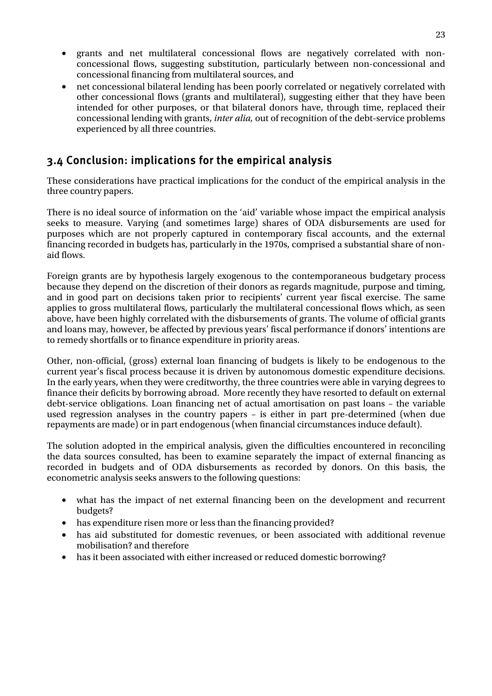- <span id="page-30-0"></span>• grants and net multilateral concessional flows are negatively correlated with nonconcessional flows, suggesting substitution, particularly between non-concessional and concessional financing from multilateral sources, and
- net concessional bilateral lending has been poorly correlated or negatively correlated with other concessional flows (grants and multilateral), suggesting either that they have been intended for other purposes, or that bilateral donors have, through time, replaced their concessional lending with grants, *inter alia,* out of recognition of the debt-service problems experienced by all three countries.

### 3.4 Conclusion: implications for the empirical analysis

These considerations have practical implications for the conduct of the empirical analysis in the three country papers.

There is no ideal source of information on the 'aid' variable whose impact the empirical analysis seeks to measure. Varying (and sometimes large) shares of ODA disbursements are used for purposes which are not properly captured in contemporary fiscal accounts, and the external financing recorded in budgets has, particularly in the 1970s, comprised a substantial share of nonaid flows.

Foreign grants are by hypothesis largely exogenous to the contemporaneous budgetary process because they depend on the discretion of their donors as regards magnitude, purpose and timing, and in good part on decisions taken prior to recipients' current year fiscal exercise. The same applies to gross multilateral flows, particularly the multilateral concessional flows which, as seen above, have been highly correlated with the disbursements of grants. The volume of official grants and loans may, however, be affected by previous years' fiscal performance if donors' intentions are to remedy shortfalls or to finance expenditure in priority areas.

Other, non-official, (gross) external loan financing of budgets is likely to be endogenous to the current year's fiscal process because it is driven by autonomous domestic expenditure decisions. In the early years, when they were creditworthy, the three countries were able in varying degrees to finance their deficits by borrowing abroad. More recently they have resorted to default on external debt-service obligations. Loan financing net of actual amortisation on past loans – the variable used regression analyses in the country papers – is either in part pre-determined (when due repayments are made) or in part endogenous (when financial circumstances induce default).

The solution adopted in the empirical analysis, given the difficulties encountered in reconciling the data sources consulted, has been to examine separately the impact of external financing as recorded in budgets and of ODA disbursements as recorded by donors. On this basis, the econometric analysis seeks answers to the following questions:

- what has the impact of net external financing been on the development and recurrent budgets?
- has expenditure risen more or less than the financing provided?
- has aid substituted for domestic revenues, or been associated with additional revenue mobilisation? and therefore
- has it been associated with either increased or reduced domestic borrowing?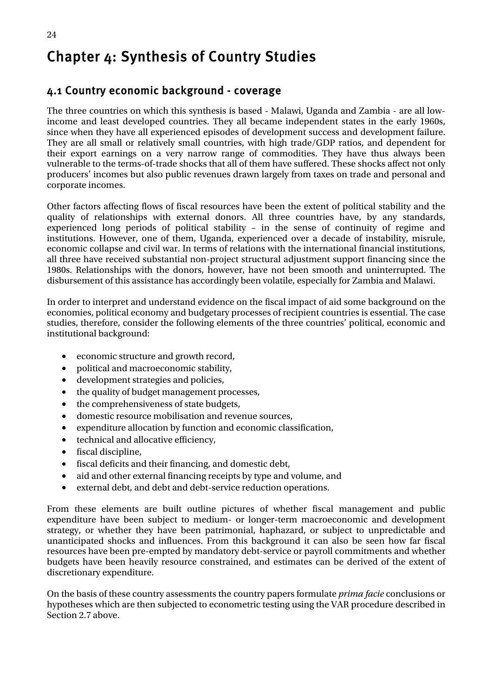## <span id="page-31-0"></span>Chapter 4: Synthesis of Country Studies

### 4.1 Country economic background - coverage

The three countries on which this synthesis is based - Malawi, Uganda and Zambia - are all lowincome and least developed countries. They all became independent states in the early 1960s, since when they have all experienced episodes of development success and development failure. They are all small or relatively small countries, with high trade/GDP ratios, and dependent for their export earnings on a very narrow range of commodities. They have thus always been vulnerable to the terms-of-trade shocks that all of them have suffered. These shocks affect not only producers' incomes but also public revenues drawn largely from taxes on trade and personal and corporate incomes.

Other factors affecting flows of fiscal resources have been the extent of political stability and the quality of relationships with external donors. All three countries have, by any standards, experienced long periods of political stability – in the sense of continuity of regime and institutions. However, one of them, Uganda, experienced over a decade of instability, misrule, economic collapse and civil war. In terms of relations with the international financial institutions, all three have received substantial non-project structural adjustment support financing since the 1980s. Relationships with the donors, however, have not been smooth and uninterrupted. The disbursement of this assistance has accordingly been volatile, especially for Zambia and Malawi.

In order to interpret and understand evidence on the fiscal impact of aid some background on the economies, political economy and budgetary processes of recipient countries is essential. The case studies, therefore, consider the following elements of the three countries' political, economic and institutional background:

- economic structure and growth record,
- political and macroeconomic stability,
- development strategies and policies,
- the quality of budget management processes,
- the comprehensiveness of state budgets,
- domestic resource mobilisation and revenue sources,
- expenditure allocation by function and economic classification,
- technical and allocative efficiency,
- fiscal discipline,
- fiscal deficits and their financing, and domestic debt,
- aid and other external financing receipts by type and volume, and
- external debt, and debt and debt-service reduction operations.

From these elements are built outline pictures of whether fiscal management and public expenditure have been subject to medium- or longer-term macroeconomic and development strategy, or whether they have been patrimonial, haphazard, or subject to unpredictable and unanticipated shocks and influences. From this background it can also be seen how far fiscal resources have been pre-empted by mandatory debt-service or payroll commitments and whether budgets have been heavily resource constrained, and estimates can be derived of the extent of discretionary expenditure.

On the basis of these country assessments the country papers formulate *prima facie* conclusions or hypotheses which are then subjected to econometric testing using the VAR procedure described in Section 2.7 above.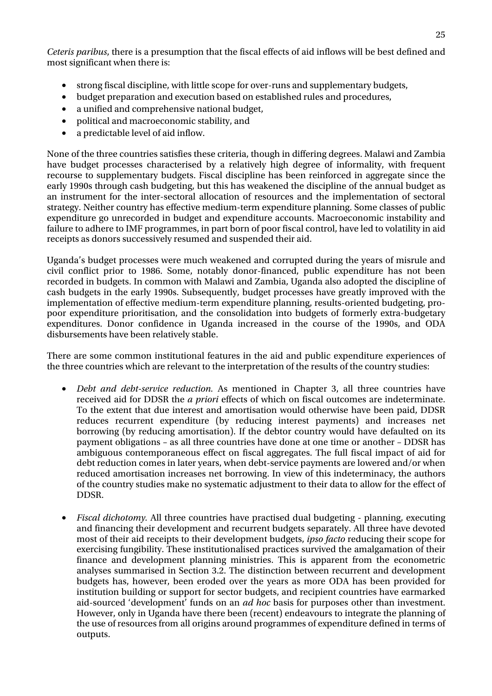*Ceteris paribus*, there is a presumption that the fiscal effects of aid inflows will be best defined and most significant when there is:

- strong fiscal discipline, with little scope for over-runs and supplementary budgets,
- budget preparation and execution based on established rules and procedures,
- a unified and comprehensive national budget,
- political and macroeconomic stability, and
- a predictable level of aid inflow.

None of the three countries satisfies these criteria, though in differing degrees. Malawi and Zambia have budget processes characterised by a relatively high degree of informality, with frequent recourse to supplementary budgets. Fiscal discipline has been reinforced in aggregate since the early 1990s through cash budgeting, but this has weakened the discipline of the annual budget as an instrument for the inter-sectoral allocation of resources and the implementation of sectoral strategy. Neither country has effective medium-term expenditure planning. Some classes of public expenditure go unrecorded in budget and expenditure accounts. Macroeconomic instability and failure to adhere to IMF programmes, in part born of poor fiscal control, have led to volatility in aid receipts as donors successively resumed and suspended their aid.

Uganda's budget processes were much weakened and corrupted during the years of misrule and civil conflict prior to 1986. Some, notably donor-financed, public expenditure has not been recorded in budgets. In common with Malawi and Zambia, Uganda also adopted the discipline of cash budgets in the early 1990s. Subsequently, budget processes have greatly improved with the implementation of effective medium-term expenditure planning, results-oriented budgeting, propoor expenditure prioritisation, and the consolidation into budgets of formerly extra-budgetary expenditures. Donor confidence in Uganda increased in the course of the 1990s, and ODA disbursements have been relatively stable.

There are some common institutional features in the aid and public expenditure experiences of the three countries which are relevant to the interpretation of the results of the country studies:

- *Debt and debt-service reduction.* As mentioned in Chapter 3, all three countries have received aid for DDSR the *a priori* effects of which on fiscal outcomes are indeterminate. To the extent that due interest and amortisation would otherwise have been paid, DDSR reduces recurrent expenditure (by reducing interest payments) and increases net borrowing (by reducing amortisation). If the debtor country would have defaulted on its payment obligations – as all three countries have done at one time or another – DDSR has ambiguous contemporaneous effect on fiscal aggregates. The full fiscal impact of aid for debt reduction comes in later years, when debt-service payments are lowered and/or when reduced amortisation increases net borrowing. In view of this indeterminacy, the authors of the country studies make no systematic adjustment to their data to allow for the effect of DDSR.
- *Fiscal dichotomy.* All three countries have practised dual budgeting planning, executing and financing their development and recurrent budgets separately. All three have devoted most of their aid receipts to their development budgets, *ipso facto* reducing their scope for exercising fungibility. These institutionalised practices survived the amalgamation of their finance and development planning ministries. This is apparent from the econometric analyses summarised in Section 3.2. The distinction between recurrent and development budgets has, however, been eroded over the years as more ODA has been provided for institution building or support for sector budgets, and recipient countries have earmarked aid-sourced 'development' funds on an *ad hoc* basis for purposes other than investment. However, only in Uganda have there been (recent) endeavours to integrate the planning of the use of resources from all origins around programmes of expenditure defined in terms of outputs.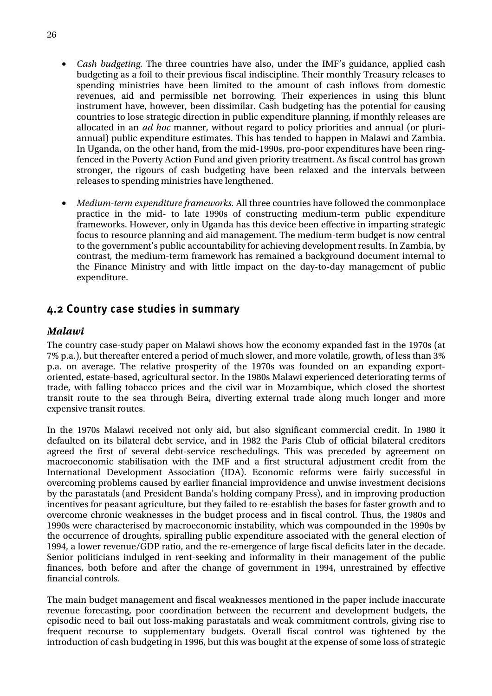- <span id="page-33-0"></span>• *Cash budgeting.* The three countries have also, under the IMF's guidance, applied cash budgeting as a foil to their previous fiscal indiscipline. Their monthly Treasury releases to spending ministries have been limited to the amount of cash inflows from domestic revenues, aid and permissible net borrowing. Their experiences in using this blunt instrument have, however, been dissimilar. Cash budgeting has the potential for causing countries to lose strategic direction in public expenditure planning, if monthly releases are allocated in an *ad hoc* manner, without regard to policy priorities and annual (or pluriannual) public expenditure estimates. This has tended to happen in Malawi and Zambia. In Uganda, on the other hand, from the mid-1990s, pro-poor expenditures have been ringfenced in the Poverty Action Fund and given priority treatment. As fiscal control has grown stronger, the rigours of cash budgeting have been relaxed and the intervals between releases to spending ministries have lengthened.
- *Medium-term expenditure frameworks.* All three countries have followed the commonplace practice in the mid- to late 1990s of constructing medium-term public expenditure frameworks. However, only in Uganda has this device been effective in imparting strategic focus to resource planning and aid management. The medium-term budget is now central to the government's public accountability for achieving development results. In Zambia, by contrast, the medium-term framework has remained a background document internal to the Finance Ministry and with little impact on the day-to-day management of public expenditure.

#### 4.2 Country case studies in summary

#### *Malawi*

The country case-study paper on Malawi shows how the economy expanded fast in the 1970s (at 7% p.a.), but thereafter entered a period of much slower, and more volatile, growth, of less than 3% p.a. on average. The relative prosperity of the 1970s was founded on an expanding exportoriented, estate-based, agricultural sector. In the 1980s Malawi experienced deteriorating terms of trade, with falling tobacco prices and the civil war in Mozambique, which closed the shortest transit route to the sea through Beira, diverting external trade along much longer and more expensive transit routes.

In the 1970s Malawi received not only aid, but also significant commercial credit. In 1980 it defaulted on its bilateral debt service, and in 1982 the Paris Club of official bilateral creditors agreed the first of several debt-service reschedulings. This was preceded by agreement on macroeconomic stabilisation with the IMF and a first structural adjustment credit from the International Development Association (IDA). Economic reforms were fairly successful in overcoming problems caused by earlier financial improvidence and unwise investment decisions by the parastatals (and President Banda's holding company Press), and in improving production incentives for peasant agriculture, but they failed to re-establish the bases for faster growth and to overcome chronic weaknesses in the budget process and in fiscal control. Thus, the 1980s and 1990s were characterised by macroeconomic instability, which was compounded in the 1990s by the occurrence of droughts, spiralling public expenditure associated with the general election of 1994, a lower revenue/GDP ratio, and the re-emergence of large fiscal deficits later in the decade. Senior politicians indulged in rent-seeking and informality in their management of the public finances, both before and after the change of government in 1994, unrestrained by effective financial controls.

The main budget management and fiscal weaknesses mentioned in the paper include inaccurate revenue forecasting, poor coordination between the recurrent and development budgets, the episodic need to bail out loss-making parastatals and weak commitment controls, giving rise to frequent recourse to supplementary budgets. Overall fiscal control was tightened by the introduction of cash budgeting in 1996, but this was bought at the expense of some loss of strategic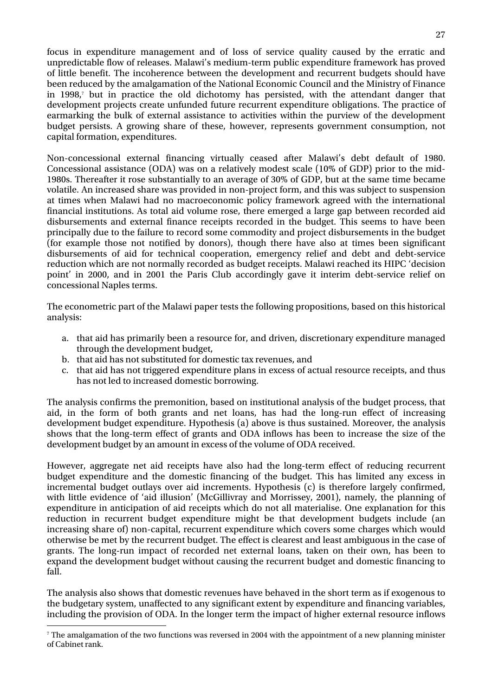focus in expenditure management and of loss of service quality caused by the erratic and unpredictable flow of releases. Malawi's medium-term public expenditure framework has proved of little benefit. The incoherence between the development and recurrent budgets should have been reduced by the amalgamation of the National Economic Council and the Ministry of Finance in 1998,[7](#page-34-0) but in practice the old dichotomy has persisted, with the attendant danger that development projects create unfunded future recurrent expenditure obligations. The practice of earmarking the bulk of external assistance to activities within the purview of the development budget persists. A growing share of these, however, represents government consumption, not capital formation, expenditures.

Non-concessional external financing virtually ceased after Malawi's debt default of 1980. Concessional assistance (ODA) was on a relatively modest scale (10% of GDP) prior to the mid-1980s. Thereafter it rose substantially to an average of 30% of GDP, but at the same time became volatile. An increased share was provided in non-project form, and this was subject to suspension at times when Malawi had no macroeconomic policy framework agreed with the international financial institutions. As total aid volume rose, there emerged a large gap between recorded aid disbursements and external finance receipts recorded in the budget. This seems to have been principally due to the failure to record some commodity and project disbursements in the budget (for example those not notified by donors), though there have also at times been significant disbursements of aid for technical cooperation, emergency relief and debt and debt-service reduction which are not normally recorded as budget receipts. Malawi reached its HIPC 'decision point' in 2000, and in 2001 the Paris Club accordingly gave it interim debt-service relief on concessional Naples terms.

The econometric part of the Malawi paper tests the following propositions, based on this historical analysis:

- a. that aid has primarily been a resource for, and driven, discretionary expenditure managed through the development budget,
- b. that aid has not substituted for domestic tax revenues, and
- c. that aid has not triggered expenditure plans in excess of actual resource receipts, and thus has not led to increased domestic borrowing.

The analysis confirms the premonition, based on institutional analysis of the budget process, that aid, in the form of both grants and net loans, has had the long-run effect of increasing development budget expenditure. Hypothesis (a) above is thus sustained. Moreover, the analysis shows that the long-term effect of grants and ODA inflows has been to increase the size of the development budget by an amount in excess of the volume of ODA received.

However, aggregate net aid receipts have also had the long-term effect of reducing recurrent budget expenditure and the domestic financing of the budget. This has limited any excess in incremental budget outlays over aid increments. Hypothesis (c) is therefore largely confirmed, with little evidence of 'aid illusion' (McGillivray and Morrissey, 2001), namely, the planning of expenditure in anticipation of aid receipts which do not all materialise. One explanation for this reduction in recurrent budget expenditure might be that development budgets include (an increasing share of) non-capital, recurrent expenditure which covers some charges which would otherwise be met by the recurrent budget. The effect is clearest and least ambiguous in the case of grants. The long-run impact of recorded net external loans, taken on their own, has been to expand the development budget without causing the recurrent budget and domestic financing to fall.

The analysis also shows that domestic revenues have behaved in the short term as if exogenous to the budgetary system, unaffected to any significant extent by expenditure and financing variables, including the provision of ODA. In the longer term the impact of higher external resource inflows

<span id="page-34-0"></span><sup>-&</sup>lt;br>7 <sup>7</sup> The amalgamation of the two functions was reversed in 2004 with the appointment of a new planning minister of Cabinet rank.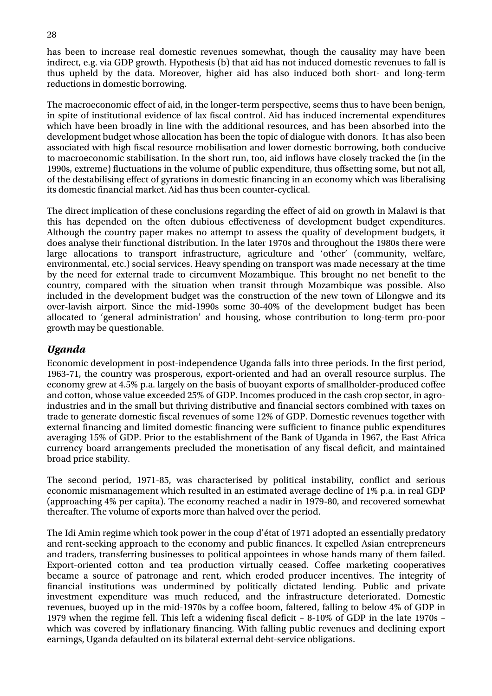has been to increase real domestic revenues somewhat, though the causality may have been indirect, e.g. via GDP growth. Hypothesis (b) that aid has not induced domestic revenues to fall is thus upheld by the data. Moreover, higher aid has also induced both short- and long-term reductions in domestic borrowing.

The macroeconomic effect of aid, in the longer-term perspective, seems thus to have been benign, in spite of institutional evidence of lax fiscal control. Aid has induced incremental expenditures which have been broadly in line with the additional resources, and has been absorbed into the development budget whose allocation has been the topic of dialogue with donors. It has also been associated with high fiscal resource mobilisation and lower domestic borrowing, both conducive to macroeconomic stabilisation. In the short run, too, aid inflows have closely tracked the (in the 1990s, extreme) fluctuations in the volume of public expenditure, thus offsetting some, but not all, of the destabilising effect of gyrations in domestic financing in an economy which was liberalising its domestic financial market. Aid has thus been counter-cyclical.

The direct implication of these conclusions regarding the effect of aid on growth in Malawi is that this has depended on the often dubious effectiveness of development budget expenditures. Although the country paper makes no attempt to assess the quality of development budgets, it does analyse their functional distribution. In the later 1970s and throughout the 1980s there were large allocations to transport infrastructure, agriculture and 'other' (community, welfare, environmental, etc.) social services. Heavy spending on transport was made necessary at the time by the need for external trade to circumvent Mozambique. This brought no net benefit to the country, compared with the situation when transit through Mozambique was possible. Also included in the development budget was the construction of the new town of Lilongwe and its over-lavish airport. Since the mid-1990s some 30-40% of the development budget has been allocated to 'general administration' and housing, whose contribution to long-term pro-poor growth may be questionable.

#### *Uganda*

Economic development in post-independence Uganda falls into three periods. In the first period, 1963-71, the country was prosperous, export-oriented and had an overall resource surplus. The economy grew at 4.5% p.a. largely on the basis of buoyant exports of smallholder-produced coffee and cotton, whose value exceeded 25% of GDP. Incomes produced in the cash crop sector, in agroindustries and in the small but thriving distributive and financial sectors combined with taxes on trade to generate domestic fiscal revenues of some 12% of GDP. Domestic revenues together with external financing and limited domestic financing were sufficient to finance public expenditures averaging 15% of GDP. Prior to the establishment of the Bank of Uganda in 1967, the East Africa currency board arrangements precluded the monetisation of any fiscal deficit, and maintained broad price stability.

The second period, 1971-85, was characterised by political instability, conflict and serious economic mismanagement which resulted in an estimated average decline of 1% p.a. in real GDP (approaching 4% per capita). The economy reached a nadir in 1979-80, and recovered somewhat thereafter. The volume of exports more than halved over the period.

The Idi Amin regime which took power in the coup d'état of 1971 adopted an essentially predatory and rent-seeking approach to the economy and public finances. It expelled Asian entrepreneurs and traders, transferring businesses to political appointees in whose hands many of them failed. Export-oriented cotton and tea production virtually ceased. Coffee marketing cooperatives became a source of patronage and rent, which eroded producer incentives. The integrity of financial institutions was undermined by politically dictated lending. Public and private investment expenditure was much reduced, and the infrastructure deteriorated. Domestic revenues, buoyed up in the mid-1970s by a coffee boom, faltered, falling to below 4% of GDP in 1979 when the regime fell. This left a widening fiscal deficit – 8-10% of GDP in the late 1970s – which was covered by inflationary financing. With falling public revenues and declining export earnings, Uganda defaulted on its bilateral external debt-service obligations.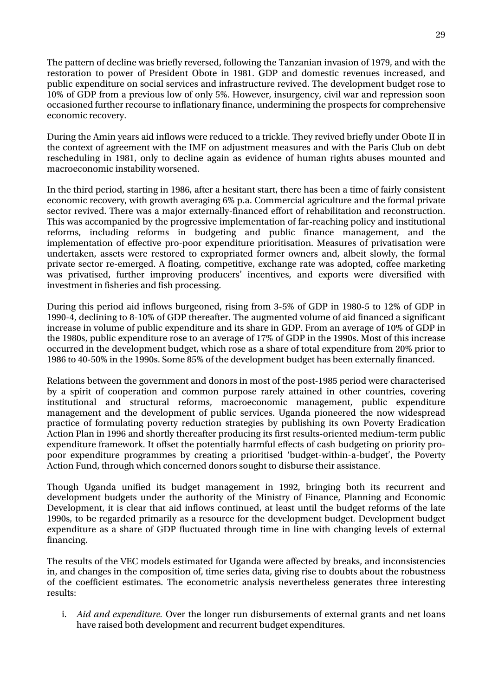The pattern of decline was briefly reversed, following the Tanzanian invasion of 1979, and with the restoration to power of President Obote in 1981. GDP and domestic revenues increased, and public expenditure on social services and infrastructure revived. The development budget rose to 10% of GDP from a previous low of only 5%. However, insurgency, civil war and repression soon occasioned further recourse to inflationary finance, undermining the prospects for comprehensive economic recovery.

During the Amin years aid inflows were reduced to a trickle. They revived briefly under Obote II in the context of agreement with the IMF on adjustment measures and with the Paris Club on debt rescheduling in 1981, only to decline again as evidence of human rights abuses mounted and macroeconomic instability worsened.

In the third period, starting in 1986, after a hesitant start, there has been a time of fairly consistent economic recovery, with growth averaging 6% p.a. Commercial agriculture and the formal private sector revived. There was a major externally-financed effort of rehabilitation and reconstruction. This was accompanied by the progressive implementation of far-reaching policy and institutional reforms, including reforms in budgeting and public finance management, and the implementation of effective pro-poor expenditure prioritisation. Measures of privatisation were undertaken, assets were restored to expropriated former owners and, albeit slowly, the formal private sector re-emerged. A floating, competitive, exchange rate was adopted, coffee marketing was privatised, further improving producers' incentives, and exports were diversified with investment in fisheries and fish processing.

During this period aid inflows burgeoned, rising from 3-5% of GDP in 1980-5 to 12% of GDP in 1990-4, declining to 8-10% of GDP thereafter. The augmented volume of aid financed a significant increase in volume of public expenditure and its share in GDP. From an average of 10% of GDP in the 1980s, public expenditure rose to an average of 17% of GDP in the 1990s. Most of this increase occurred in the development budget, which rose as a share of total expenditure from 20% prior to 1986 to 40-50% in the 1990s. Some 85% of the development budget has been externally financed.

Relations between the government and donors in most of the post-1985 period were characterised by a spirit of cooperation and common purpose rarely attained in other countries, covering institutional and structural reforms, macroeconomic management, public expenditure management and the development of public services. Uganda pioneered the now widespread practice of formulating poverty reduction strategies by publishing its own Poverty Eradication Action Plan in 1996 and shortly thereafter producing its first results-oriented medium-term public expenditure framework. It offset the potentially harmful effects of cash budgeting on priority propoor expenditure programmes by creating a prioritised 'budget-within-a-budget', the Poverty Action Fund, through which concerned donors sought to disburse their assistance.

Though Uganda unified its budget management in 1992, bringing both its recurrent and development budgets under the authority of the Ministry of Finance, Planning and Economic Development, it is clear that aid inflows continued, at least until the budget reforms of the late 1990s, to be regarded primarily as a resource for the development budget. Development budget expenditure as a share of GDP fluctuated through time in line with changing levels of external financing.

The results of the VEC models estimated for Uganda were affected by breaks, and inconsistencies in, and changes in the composition of, time series data, giving rise to doubts about the robustness of the coefficient estimates. The econometric analysis nevertheless generates three interesting results:

i. *Aid and expenditure.* Over the longer run disbursements of external grants and net loans have raised both development and recurrent budget expenditures.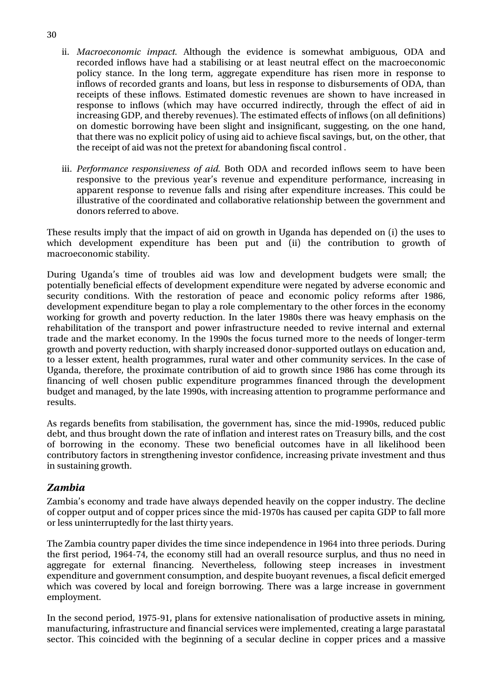- ii. *Macroeconomic impact.* Although the evidence is somewhat ambiguous, ODA and recorded inflows have had a stabilising or at least neutral effect on the macroeconomic policy stance. In the long term, aggregate expenditure has risen more in response to inflows of recorded grants and loans, but less in response to disbursements of ODA, than receipts of these inflows. Estimated domestic revenues are shown to have increased in response to inflows (which may have occurred indirectly, through the effect of aid in increasing GDP, and thereby revenues). The estimated effects of inflows (on all definitions) on domestic borrowing have been slight and insignificant, suggesting, on the one hand, that there was no explicit policy of using aid to achieve fiscal savings, but, on the other, that the receipt of aid was not the pretext for abandoning fiscal control .
- iii. *Performance responsiveness of aid.* Both ODA and recorded inflows seem to have been responsive to the previous year's revenue and expenditure performance, increasing in apparent response to revenue falls and rising after expenditure increases. This could be illustrative of the coordinated and collaborative relationship between the government and donors referred to above.

These results imply that the impact of aid on growth in Uganda has depended on (i) the uses to which development expenditure has been put and (ii) the contribution to growth of macroeconomic stability.

During Uganda's time of troubles aid was low and development budgets were small; the potentially beneficial effects of development expenditure were negated by adverse economic and security conditions. With the restoration of peace and economic policy reforms after 1986, development expenditure began to play a role complementary to the other forces in the economy working for growth and poverty reduction. In the later 1980s there was heavy emphasis on the rehabilitation of the transport and power infrastructure needed to revive internal and external trade and the market economy. In the 1990s the focus turned more to the needs of longer-term growth and poverty reduction, with sharply increased donor-supported outlays on education and, to a lesser extent, health programmes, rural water and other community services. In the case of Uganda, therefore, the proximate contribution of aid to growth since 1986 has come through its financing of well chosen public expenditure programmes financed through the development budget and managed, by the late 1990s, with increasing attention to programme performance and results.

As regards benefits from stabilisation, the government has, since the mid-1990s, reduced public debt, and thus brought down the rate of inflation and interest rates on Treasury bills, and the cost of borrowing in the economy. These two beneficial outcomes have in all likelihood been contributory factors in strengthening investor confidence, increasing private investment and thus in sustaining growth.

#### *Zambia*

Zambia's economy and trade have always depended heavily on the copper industry. The decline of copper output and of copper prices since the mid-1970s has caused per capita GDP to fall more or less uninterruptedly for the last thirty years.

The Zambia country paper divides the time since independence in 1964 into three periods. During the first period, 1964-74, the economy still had an overall resource surplus, and thus no need in aggregate for external financing. Nevertheless, following steep increases in investment expenditure and government consumption, and despite buoyant revenues, a fiscal deficit emerged which was covered by local and foreign borrowing. There was a large increase in government employment.

In the second period, 1975-91, plans for extensive nationalisation of productive assets in mining, manufacturing, infrastructure and financial services were implemented, creating a large parastatal sector. This coincided with the beginning of a secular decline in copper prices and a massive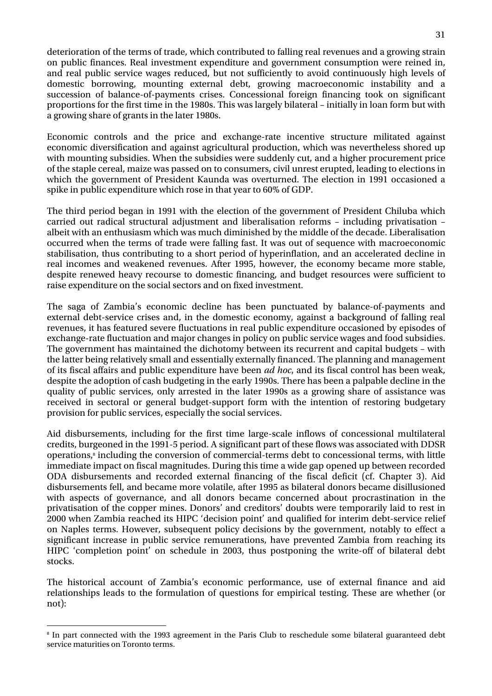deterioration of the terms of trade, which contributed to falling real revenues and a growing strain on public finances. Real investment expenditure and government consumption were reined in, and real public service wages reduced, but not sufficiently to avoid continuously high levels of domestic borrowing, mounting external debt, growing macroeconomic instability and a succession of balance-of-payments crises. Concessional foreign financing took on significant proportions for the first time in the 1980s. This was largely bilateral – initially in loan form but with a growing share of grants in the later 1980s.

Economic controls and the price and exchange-rate incentive structure militated against economic diversification and against agricultural production, which was nevertheless shored up with mounting subsidies. When the subsidies were suddenly cut, and a higher procurement price of the staple cereal, maize was passed on to consumers, civil unrest erupted, leading to elections in which the government of President Kaunda was overturned. The election in 1991 occasioned a spike in public expenditure which rose in that year to 60% of GDP.

The third period began in 1991 with the election of the government of President Chiluba which carried out radical structural adjustment and liberalisation reforms – including privatisation – albeit with an enthusiasm which was much diminished by the middle of the decade. Liberalisation occurred when the terms of trade were falling fast. It was out of sequence with macroeconomic stabilisation, thus contributing to a short period of hyperinflation, and an accelerated decline in real incomes and weakened revenues. After 1995, however, the economy became more stable, despite renewed heavy recourse to domestic financing, and budget resources were sufficient to raise expenditure on the social sectors and on fixed investment.

The saga of Zambia's economic decline has been punctuated by balance-of-payments and external debt-service crises and, in the domestic economy, against a background of falling real revenues, it has featured severe fluctuations in real public expenditure occasioned by episodes of exchange-rate fluctuation and major changes in policy on public service wages and food subsidies. The government has maintained the dichotomy between its recurrent and capital budgets – with the latter being relatively small and essentially externally financed. The planning and management of its fiscal affairs and public expenditure have been *ad hoc*, and its fiscal control has been weak, despite the adoption of cash budgeting in the early 1990s. There has been a palpable decline in the quality of public services, only arrested in the later 1990s as a growing share of assistance was received in sectoral or general budget-support form with the intention of restoring budgetary provision for public services, especially the social services.

Aid disbursements, including for the first time large-scale inflows of concessional multilateral credits, burgeoned in the 1991-5 period. A significant part of these flows was associated with DDSR operations,<sup>8</sup> including the conversion of commercial-terms debt to concessional terms, with little immediate impact on fiscal magnitudes. During this time a wide gap opened up between recorded ODA disbursements and recorded external financing of the fiscal deficit (cf. Chapter 3). Aid disbursements fell, and became more volatile, after 1995 as bilateral donors became disillusioned with aspects of governance, and all donors became concerned about procrastination in the privatisation of the copper mines. Donors' and creditors' doubts were temporarily laid to rest in 2000 when Zambia reached its HIPC 'decision point' and qualified for interim debt-service relief on Naples terms. However, subsequent policy decisions by the government, notably to effect a significant increase in public service remunerations, have prevented Zambia from reaching its HIPC 'completion point' on schedule in 2003, thus postponing the write-off of bilateral debt stocks.

The historical account of Zambia's economic performance, use of external finance and aid relationships leads to the formulation of questions for empirical testing. These are whether (or not):

<span id="page-38-0"></span><sup>-&</sup>lt;br>8 <sup>8</sup> In part connected with the 1993 agreement in the Paris Club to reschedule some bilateral guaranteed debt service maturities on Toronto terms.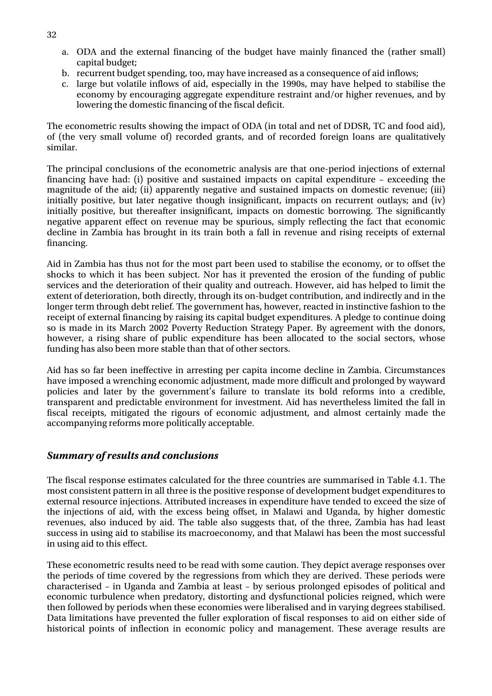- a. ODA and the external financing of the budget have mainly financed the (rather small) capital budget;
- b. recurrent budget spending, too, may have increased as a consequence of aid inflows;
- c. large but volatile inflows of aid, especially in the 1990s, may have helped to stabilise the economy by encouraging aggregate expenditure restraint and/or higher revenues, and by lowering the domestic financing of the fiscal deficit.

The econometric results showing the impact of ODA (in total and net of DDSR, TC and food aid), of (the very small volume of) recorded grants, and of recorded foreign loans are qualitatively similar.

The principal conclusions of the econometric analysis are that one-period injections of external financing have had: (i) positive and sustained impacts on capital expenditure – exceeding the magnitude of the aid; (ii) apparently negative and sustained impacts on domestic revenue; (iii) initially positive, but later negative though insignificant, impacts on recurrent outlays; and (iv) initially positive, but thereafter insignificant, impacts on domestic borrowing. The significantly negative apparent effect on revenue may be spurious, simply reflecting the fact that economic decline in Zambia has brought in its train both a fall in revenue and rising receipts of external financing.

Aid in Zambia has thus not for the most part been used to stabilise the economy, or to offset the shocks to which it has been subject. Nor has it prevented the erosion of the funding of public services and the deterioration of their quality and outreach. However, aid has helped to limit the extent of deterioration, both directly, through its on-budget contribution, and indirectly and in the longer term through debt relief. The government has, however, reacted in instinctive fashion to the receipt of external financing by raising its capital budget expenditures. A pledge to continue doing so is made in its March 2002 Poverty Reduction Strategy Paper. By agreement with the donors, however, a rising share of public expenditure has been allocated to the social sectors, whose funding has also been more stable than that of other sectors.

Aid has so far been ineffective in arresting per capita income decline in Zambia. Circumstances have imposed a wrenching economic adjustment, made more difficult and prolonged by wayward policies and later by the government's failure to translate its bold reforms into a credible, transparent and predictable environment for investment. Aid has nevertheless limited the fall in fiscal receipts, mitigated the rigours of economic adjustment, and almost certainly made the accompanying reforms more politically acceptable.

#### *Summary of results and conclusions*

The fiscal response estimates calculated for the three countries are summarised in Table 4.1. The most consistent pattern in all three is the positive response of development budget expenditures to external resource injections. Attributed increases in expenditure have tended to exceed the size of the injections of aid, with the excess being offset, in Malawi and Uganda, by higher domestic revenues, also induced by aid. The table also suggests that, of the three, Zambia has had least success in using aid to stabilise its macroeconomy, and that Malawi has been the most successful in using aid to this effect.

These econometric results need to be read with some caution. They depict average responses over the periods of time covered by the regressions from which they are derived. These periods were characterised – in Uganda and Zambia at least – by serious prolonged episodes of political and economic turbulence when predatory, distorting and dysfunctional policies reigned, which were then followed by periods when these economies were liberalised and in varying degrees stabilised. Data limitations have prevented the fuller exploration of fiscal responses to aid on either side of historical points of inflection in economic policy and management. These average results are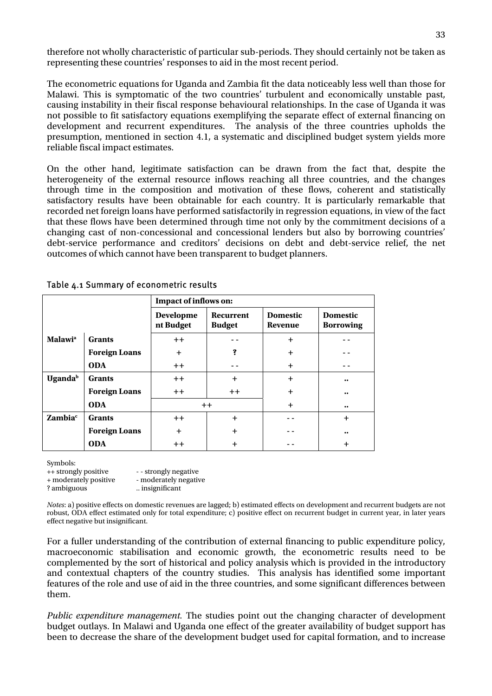<span id="page-40-0"></span>therefore not wholly characteristic of particular sub-periods. They should certainly not be taken as representing these countries' responses to aid in the most recent period.

The econometric equations for Uganda and Zambia fit the data noticeably less well than those for Malawi. This is symptomatic of the two countries' turbulent and economically unstable past, causing instability in their fiscal response behavioural relationships. In the case of Uganda it was not possible to fit satisfactory equations exemplifying the separate effect of external financing on development and recurrent expenditures. The analysis of the three countries upholds the presumption, mentioned in section 4.1, a systematic and disciplined budget system yields more reliable fiscal impact estimates.

On the other hand, legitimate satisfaction can be drawn from the fact that, despite the heterogeneity of the external resource inflows reaching all three countries, and the changes through time in the composition and motivation of these flows, coherent and statistically satisfactory results have been obtainable for each country. It is particularly remarkable that recorded net foreign loans have performed satisfactorily in regression equations, in view of the fact that these flows have been determined through time not only by the commitment decisions of a changing cast of non-concessional and concessional lenders but also by borrowing countries' debt-service performance and creditors' decisions on debt and debt-service relief, the net outcomes of which cannot have been transparent to budget planners.

|                            |                      | Impact of inflows on:         |                                   |                                   |                                     |  |  |  |
|----------------------------|----------------------|-------------------------------|-----------------------------------|-----------------------------------|-------------------------------------|--|--|--|
|                            |                      | <b>Developme</b><br>nt Budget | <b>Recurrent</b><br><b>Budget</b> | <b>Domestic</b><br><b>Revenue</b> | <b>Domestic</b><br><b>Borrowing</b> |  |  |  |
| <b>Malawi</b> <sup>a</sup> | <b>Grants</b>        | $++$                          |                                   | $\ddot{}$                         |                                     |  |  |  |
|                            | <b>Foreign Loans</b> | $\ddot{}$                     | ş                                 | $\ddot{}$                         |                                     |  |  |  |
|                            | <b>ODA</b>           | $++$                          |                                   | $\ddot{}$                         |                                     |  |  |  |
| <b>Uganda</b> <sup>b</sup> | Grants               | $++$                          | $\ddot{}$                         | $\ddot{}$                         | $\bullet\bullet$                    |  |  |  |
|                            | <b>Foreign Loans</b> | $++$                          | $++$                              | $\ddot{}$                         | $\bullet\bullet$                    |  |  |  |
|                            | <b>ODA</b>           |                               | $++$                              | $\ddot{}$                         | $\bullet\bullet$                    |  |  |  |
| <b>Zambia</b> <sup>c</sup> | <b>Grants</b>        | $++$                          | $+$                               |                                   | $\ddot{}$                           |  |  |  |
|                            | <b>Foreign Loans</b> | $\ddot{}$                     | $\ddot{}$                         |                                   | $\bullet\bullet$                    |  |  |  |
|                            | <b>ODA</b>           | $++$                          | $\ddot{}$                         |                                   | $\ddot{}$                           |  |  |  |

| Table 4.1 Summary of econometric results |  |
|------------------------------------------|--|
|------------------------------------------|--|

Symbols:

| $-1.220$              |                       |
|-----------------------|-----------------------|
| ++ strongly positive  | - - strongly negative |
| + moderately positive | - moderately negative |
| ? ambiguous           | insignificant         |
|                       |                       |

*Notes*: a) positive effects on domestic revenues are lagged; b) estimated effects on development and recurrent budgets are not robust, ODA effect estimated only for total expenditure; c) positive effect on recurrent budget in current year, in later years effect negative but insignificant.

For a fuller understanding of the contribution of external financing to public expenditure policy, macroeconomic stabilisation and economic growth, the econometric results need to be complemented by the sort of historical and policy analysis which is provided in the introductory and contextual chapters of the country studies. This analysis has identified some important features of the role and use of aid in the three countries, and some significant differences between them.

*Public expenditure management.* The studies point out the changing character of development budget outlays. In Malawi and Uganda one effect of the greater availability of budget support has been to decrease the share of the development budget used for capital formation, and to increase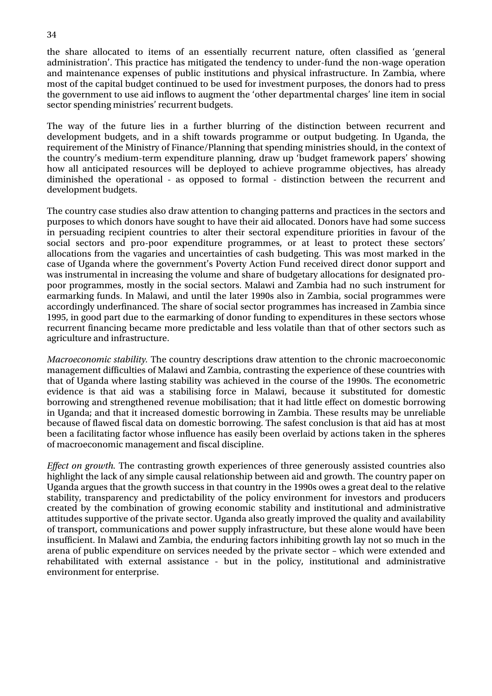the share allocated to items of an essentially recurrent nature, often classified as 'general administration'. This practice has mitigated the tendency to under-fund the non-wage operation and maintenance expenses of public institutions and physical infrastructure. In Zambia, where most of the capital budget continued to be used for investment purposes, the donors had to press the government to use aid inflows to augment the 'other departmental charges' line item in social sector spending ministries' recurrent budgets.

The way of the future lies in a further blurring of the distinction between recurrent and development budgets, and in a shift towards programme or output budgeting. In Uganda, the requirement of the Ministry of Finance/Planning that spending ministries should, in the context of the country's medium-term expenditure planning, draw up 'budget framework papers' showing how all anticipated resources will be deployed to achieve programme objectives, has already diminished the operational - as opposed to formal - distinction between the recurrent and development budgets.

The country case studies also draw attention to changing patterns and practices in the sectors and purposes to which donors have sought to have their aid allocated. Donors have had some success in persuading recipient countries to alter their sectoral expenditure priorities in favour of the social sectors and pro-poor expenditure programmes, or at least to protect these sectors' allocations from the vagaries and uncertainties of cash budgeting. This was most marked in the case of Uganda where the government's Poverty Action Fund received direct donor support and was instrumental in increasing the volume and share of budgetary allocations for designated propoor programmes, mostly in the social sectors. Malawi and Zambia had no such instrument for earmarking funds. In Malawi, and until the later 1990s also in Zambia, social programmes were accordingly underfinanced. The share of social sector programmes has increased in Zambia since 1995, in good part due to the earmarking of donor funding to expenditures in these sectors whose recurrent financing became more predictable and less volatile than that of other sectors such as agriculture and infrastructure.

*Macroeconomic stability.* The country descriptions draw attention to the chronic macroeconomic management difficulties of Malawi and Zambia, contrasting the experience of these countries with that of Uganda where lasting stability was achieved in the course of the 1990s. The econometric evidence is that aid was a stabilising force in Malawi, because it substituted for domestic borrowing and strengthened revenue mobilisation; that it had little effect on domestic borrowing in Uganda; and that it increased domestic borrowing in Zambia. These results may be unreliable because of flawed fiscal data on domestic borrowing. The safest conclusion is that aid has at most been a facilitating factor whose influence has easily been overlaid by actions taken in the spheres of macroeconomic management and fiscal discipline.

*Effect on growth.* The contrasting growth experiences of three generously assisted countries also highlight the lack of any simple causal relationship between aid and growth. The country paper on Uganda argues that the growth success in that country in the 1990s owes a great deal to the relative stability, transparency and predictability of the policy environment for investors and producers created by the combination of growing economic stability and institutional and administrative attitudes supportive of the private sector. Uganda also greatly improved the quality and availability of transport, communications and power supply infrastructure, but these alone would have been insufficient. In Malawi and Zambia, the enduring factors inhibiting growth lay not so much in the arena of public expenditure on services needed by the private sector – which were extended and rehabilitated with external assistance - but in the policy, institutional and administrative environment for enterprise.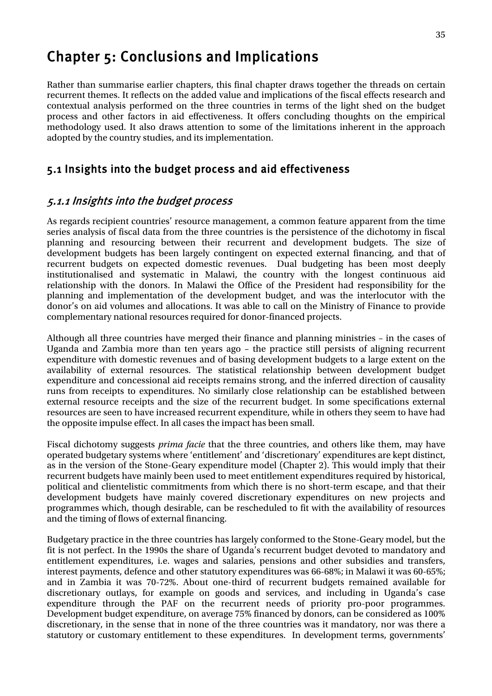## <span id="page-42-0"></span>Chapter 5: Conclusions and Implications

Rather than summarise earlier chapters, this final chapter draws together the threads on certain recurrent themes. It reflects on the added value and implications of the fiscal effects research and contextual analysis performed on the three countries in terms of the light shed on the budget process and other factors in aid effectiveness. It offers concluding thoughts on the empirical methodology used. It also draws attention to some of the limitations inherent in the approach adopted by the country studies, and its implementation.

#### 5.1 Insights into the budget process and aid effectiveness

#### 5.1.1 Insights into the budget process

As regards recipient countries' resource management, a common feature apparent from the time series analysis of fiscal data from the three countries is the persistence of the dichotomy in fiscal planning and resourcing between their recurrent and development budgets. The size of development budgets has been largely contingent on expected external financing, and that of recurrent budgets on expected domestic revenues. Dual budgeting has been most deeply institutionalised and systematic in Malawi, the country with the longest continuous aid relationship with the donors. In Malawi the Office of the President had responsibility for the planning and implementation of the development budget, and was the interlocutor with the donor's on aid volumes and allocations. It was able to call on the Ministry of Finance to provide complementary national resources required for donor-financed projects.

Although all three countries have merged their finance and planning ministries – in the cases of Uganda and Zambia more than ten years ago – the practice still persists of aligning recurrent expenditure with domestic revenues and of basing development budgets to a large extent on the availability of external resources. The statistical relationship between development budget expenditure and concessional aid receipts remains strong, and the inferred direction of causality runs from receipts to expenditures. No similarly close relationship can be established between external resource receipts and the size of the recurrent budget. In some specifications external resources are seen to have increased recurrent expenditure, while in others they seem to have had the opposite impulse effect. In all cases the impact has been small.

Fiscal dichotomy suggests *prima facie* that the three countries, and others like them, may have operated budgetary systems where 'entitlement' and 'discretionary' expenditures are kept distinct, as in the version of the Stone-Geary expenditure model (Chapter 2). This would imply that their recurrent budgets have mainly been used to meet entitlement expenditures required by historical, political and clientelistic commitments from which there is no short-term escape, and that their development budgets have mainly covered discretionary expenditures on new projects and programmes which, though desirable, can be rescheduled to fit with the availability of resources and the timing of flows of external financing.

Budgetary practice in the three countries has largely conformed to the Stone-Geary model, but the fit is not perfect. In the 1990s the share of Uganda's recurrent budget devoted to mandatory and entitlement expenditures, i.e. wages and salaries, pensions and other subsidies and transfers, interest payments, defence and other statutory expenditures was 66-68%; in Malawi it was 60-65%; and in Zambia it was 70-72%. About one-third of recurrent budgets remained available for discretionary outlays, for example on goods and services, and including in Uganda's case expenditure through the PAF on the recurrent needs of priority pro-poor programmes. Development budget expenditure, on average 75% financed by donors, can be considered as 100% discretionary, in the sense that in none of the three countries was it mandatory, nor was there a statutory or customary entitlement to these expenditures. In development terms, governments'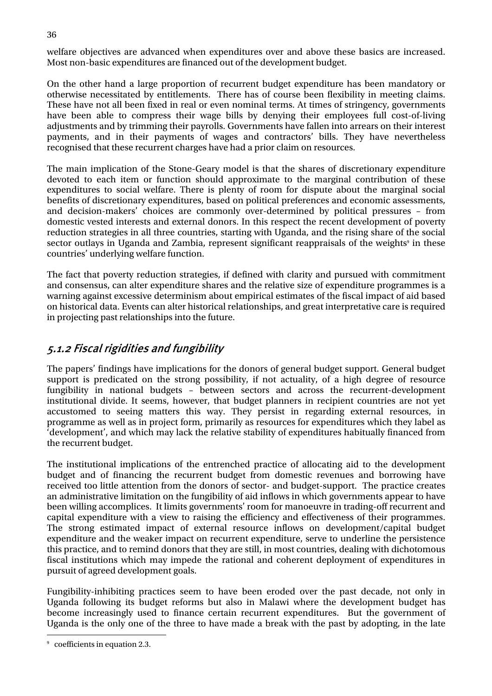welfare objectives are advanced when expenditures over and above these basics are increased. Most non-basic expenditures are financed out of the development budget.

On the other hand a large proportion of recurrent budget expenditure has been mandatory or otherwise necessitated by entitlements. There has of course been flexibility in meeting claims. These have not all been fixed in real or even nominal terms. At times of stringency, governments have been able to compress their wage bills by denying their employees full cost-of-living adjustments and by trimming their payrolls. Governments have fallen into arrears on their interest payments, and in their payments of wages and contractors' bills. They have nevertheless recognised that these recurrent charges have had a prior claim on resources.

The main implication of the Stone-Geary model is that the shares of discretionary expenditure devoted to each item or function should approximate to the marginal contribution of these expenditures to social welfare. There is plenty of room for dispute about the marginal social benefits of discretionary expenditures, based on political preferences and economic assessments, and decision-makers' choices are commonly over-determined by political pressures – from domestic vested interests and external donors. In this respect the recent development of poverty reduction strategies in all three countries, starting with Uganda, and the rising share of the social sector outlays in Uganda and Zambia, represent significant reappraisals of the weights<sup>9</sup> in these countries' underlying welfare function.

The fact that poverty reduction strategies, if defined with clarity and pursued with commitment and consensus, can alter expenditure shares and the relative size of expenditure programmes is a warning against excessive determinism about empirical estimates of the fiscal impact of aid based on historical data. Events can alter historical relationships, and great interpretative care is required in projecting past relationships into the future.

#### 5.1.2 Fiscal rigidities and fungibility

The papers' findings have implications for the donors of general budget support. General budget support is predicated on the strong possibility, if not actuality, of a high degree of resource fungibility in national budgets – between sectors and across the recurrent-development institutional divide. It seems, however, that budget planners in recipient countries are not yet accustomed to seeing matters this way. They persist in regarding external resources, in programme as well as in project form, primarily as resources for expenditures which they label as 'development', and which may lack the relative stability of expenditures habitually financed from the recurrent budget.

The institutional implications of the entrenched practice of allocating aid to the development budget and of financing the recurrent budget from domestic revenues and borrowing have received too little attention from the donors of sector- and budget-support. The practice creates an administrative limitation on the fungibility of aid inflows in which governments appear to have been willing accomplices. It limits governments' room for manoeuvre in trading-off recurrent and capital expenditure with a view to raising the efficiency and effectiveness of their programmes. The strong estimated impact of external resource inflows on development/capital budget expenditure and the weaker impact on recurrent expenditure, serve to underline the persistence this practice, and to remind donors that they are still, in most countries, dealing with dichotomous fiscal institutions which may impede the rational and coherent deployment of expenditures in pursuit of agreed development goals.

Fungibility-inhibiting practices seem to have been eroded over the past decade, not only in Uganda following its budget reforms but also in Malawi where the development budget has become increasingly used to finance certain recurrent expenditures. But the government of Uganda is the only one of the three to have made a break with the past by adopting, in the late

<span id="page-43-0"></span><sup>-&</sup>lt;br>9 <sup>9</sup> coefficients in equation 2.3.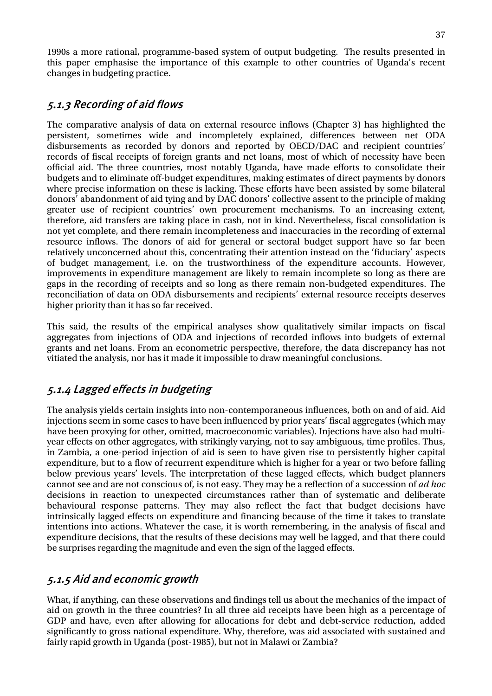1990s a more rational, programme-based system of output budgeting. The results presented in this paper emphasise the importance of this example to other countries of Uganda's recent changes in budgeting practice.

### 5.1.3 Recording of aid flows

The comparative analysis of data on external resource inflows (Chapter 3) has highlighted the persistent, sometimes wide and incompletely explained, differences between net ODA disbursements as recorded by donors and reported by OECD/DAC and recipient countries' records of fiscal receipts of foreign grants and net loans, most of which of necessity have been official aid. The three countries, most notably Uganda, have made efforts to consolidate their budgets and to eliminate off-budget expenditures, making estimates of direct payments by donors where precise information on these is lacking. These efforts have been assisted by some bilateral donors' abandonment of aid tying and by DAC donors' collective assent to the principle of making greater use of recipient countries' own procurement mechanisms. To an increasing extent, therefore, aid transfers are taking place in cash, not in kind. Nevertheless, fiscal consolidation is not yet complete, and there remain incompleteness and inaccuracies in the recording of external resource inflows. The donors of aid for general or sectoral budget support have so far been relatively unconcerned about this, concentrating their attention instead on the 'fiduciary' aspects of budget management, i.e. on the trustworthiness of the expenditure accounts. However, improvements in expenditure management are likely to remain incomplete so long as there are gaps in the recording of receipts and so long as there remain non-budgeted expenditures. The reconciliation of data on ODA disbursements and recipients' external resource receipts deserves higher priority than it has so far received.

This said, the results of the empirical analyses show qualitatively similar impacts on fiscal aggregates from injections of ODA and injections of recorded inflows into budgets of external grants and net loans. From an econometric perspective, therefore, the data discrepancy has not vitiated the analysis, nor has it made it impossible to draw meaningful conclusions.

### 5.1.4 Lagged effects in budgeting

The analysis yields certain insights into non-contemporaneous influences, both on and of aid. Aid injections seem in some cases to have been influenced by prior years' fiscal aggregates (which may have been proxying for other, omitted, macroeconomic variables). Injections have also had multiyear effects on other aggregates, with strikingly varying, not to say ambiguous, time profiles. Thus, in Zambia, a one-period injection of aid is seen to have given rise to persistently higher capital expenditure, but to a flow of recurrent expenditure which is higher for a year or two before falling below previous years' levels. The interpretation of these lagged effects, which budget planners cannot see and are not conscious of, is not easy. They may be a reflection of a succession of *ad hoc* decisions in reaction to unexpected circumstances rather than of systematic and deliberate behavioural response patterns. They may also reflect the fact that budget decisions have intrinsically lagged effects on expenditure and financing because of the time it takes to translate intentions into actions. Whatever the case, it is worth remembering, in the analysis of fiscal and expenditure decisions, that the results of these decisions may well be lagged, and that there could be surprises regarding the magnitude and even the sign of the lagged effects.

### 5.1.5 Aid and economic growth

What, if anything, can these observations and findings tell us about the mechanics of the impact of aid on growth in the three countries? In all three aid receipts have been high as a percentage of GDP and have, even after allowing for allocations for debt and debt-service reduction, added significantly to gross national expenditure. Why, therefore, was aid associated with sustained and fairly rapid growth in Uganda (post-1985), but not in Malawi or Zambia?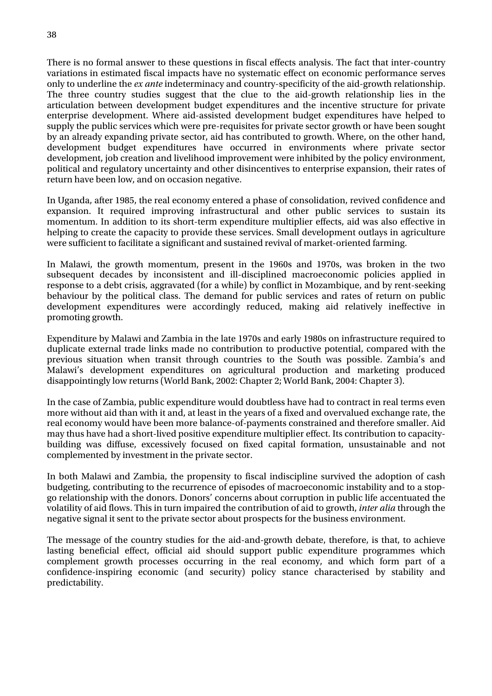There is no formal answer to these questions in fiscal effects analysis. The fact that inter-country variations in estimated fiscal impacts have no systematic effect on economic performance serves only to underline the *ex ante* indeterminacy and country-specificity of the aid-growth relationship. The three country studies suggest that the clue to the aid-growth relationship lies in the articulation between development budget expenditures and the incentive structure for private enterprise development. Where aid-assisted development budget expenditures have helped to supply the public services which were pre-requisites for private sector growth or have been sought by an already expanding private sector, aid has contributed to growth. Where, on the other hand, development budget expenditures have occurred in environments where private sector development, job creation and livelihood improvement were inhibited by the policy environment, political and regulatory uncertainty and other disincentives to enterprise expansion, their rates of return have been low, and on occasion negative.

In Uganda, after 1985, the real economy entered a phase of consolidation, revived confidence and expansion. It required improving infrastructural and other public services to sustain its momentum. In addition to its short-term expenditure multiplier effects, aid was also effective in helping to create the capacity to provide these services. Small development outlays in agriculture were sufficient to facilitate a significant and sustained revival of market-oriented farming.

In Malawi, the growth momentum, present in the 1960s and 1970s, was broken in the two subsequent decades by inconsistent and ill-disciplined macroeconomic policies applied in response to a debt crisis, aggravated (for a while) by conflict in Mozambique, and by rent-seeking behaviour by the political class. The demand for public services and rates of return on public development expenditures were accordingly reduced, making aid relatively ineffective in promoting growth.

Expenditure by Malawi and Zambia in the late 1970s and early 1980s on infrastructure required to duplicate external trade links made no contribution to productive potential, compared with the previous situation when transit through countries to the South was possible. Zambia's and Malawi's development expenditures on agricultural production and marketing produced disappointingly low returns (World Bank, 2002: Chapter 2; World Bank, 2004: Chapter 3).

In the case of Zambia, public expenditure would doubtless have had to contract in real terms even more without aid than with it and, at least in the years of a fixed and overvalued exchange rate, the real economy would have been more balance-of-payments constrained and therefore smaller. Aid may thus have had a short-lived positive expenditure multiplier effect. Its contribution to capacitybuilding was diffuse, excessively focused on fixed capital formation, unsustainable and not complemented by investment in the private sector.

In both Malawi and Zambia, the propensity to fiscal indiscipline survived the adoption of cash budgeting, contributing to the recurrence of episodes of macroeconomic instability and to a stopgo relationship with the donors. Donors' concerns about corruption in public life accentuated the volatility of aid flows. This in turn impaired the contribution of aid to growth, *inter alia* through the negative signal it sent to the private sector about prospects for the business environment.

The message of the country studies for the aid-and-growth debate, therefore, is that, to achieve lasting beneficial effect, official aid should support public expenditure programmes which complement growth processes occurring in the real economy, and which form part of a confidence-inspiring economic (and security) policy stance characterised by stability and predictability.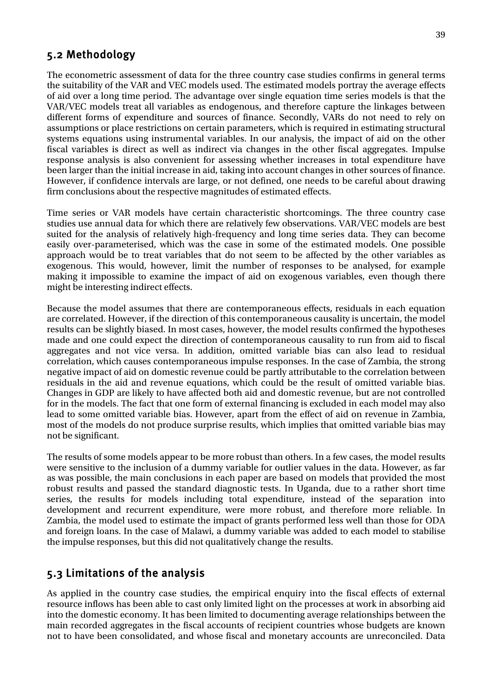#### <span id="page-46-0"></span>5.2 Methodology

The econometric assessment of data for the three country case studies confirms in general terms the suitability of the VAR and VEC models used. The estimated models portray the average effects of aid over a long time period. The advantage over single equation time series models is that the VAR/VEC models treat all variables as endogenous, and therefore capture the linkages between different forms of expenditure and sources of finance. Secondly, VARs do not need to rely on assumptions or place restrictions on certain parameters, which is required in estimating structural systems equations using instrumental variables. In our analysis, the impact of aid on the other fiscal variables is direct as well as indirect via changes in the other fiscal aggregates. Impulse response analysis is also convenient for assessing whether increases in total expenditure have been larger than the initial increase in aid, taking into account changes in other sources of finance. However, if confidence intervals are large, or not defined, one needs to be careful about drawing firm conclusions about the respective magnitudes of estimated effects.

Time series or VAR models have certain characteristic shortcomings. The three country case studies use annual data for which there are relatively few observations. VAR/VEC models are best suited for the analysis of relatively high-frequency and long time series data. They can become easily over-parameterised, which was the case in some of the estimated models. One possible approach would be to treat variables that do not seem to be affected by the other variables as exogenous. This would, however, limit the number of responses to be analysed, for example making it impossible to examine the impact of aid on exogenous variables, even though there might be interesting indirect effects.

Because the model assumes that there are contemporaneous effects, residuals in each equation are correlated. However, if the direction of this contemporaneous causality is uncertain, the model results can be slightly biased. In most cases, however, the model results confirmed the hypotheses made and one could expect the direction of contemporaneous causality to run from aid to fiscal aggregates and not vice versa. In addition, omitted variable bias can also lead to residual correlation, which causes contemporaneous impulse responses. In the case of Zambia, the strong negative impact of aid on domestic revenue could be partly attributable to the correlation between residuals in the aid and revenue equations, which could be the result of omitted variable bias. Changes in GDP are likely to have affected both aid and domestic revenue, but are not controlled for in the models. The fact that one form of external financing is excluded in each model may also lead to some omitted variable bias. However, apart from the effect of aid on revenue in Zambia, most of the models do not produce surprise results, which implies that omitted variable bias may not be significant.

The results of some models appear to be more robust than others. In a few cases, the model results were sensitive to the inclusion of a dummy variable for outlier values in the data. However, as far as was possible, the main conclusions in each paper are based on models that provided the most robust results and passed the standard diagnostic tests. In Uganda, due to a rather short time series, the results for models including total expenditure, instead of the separation into development and recurrent expenditure, were more robust, and therefore more reliable. In Zambia, the model used to estimate the impact of grants performed less well than those for ODA and foreign loans. In the case of Malawi, a dummy variable was added to each model to stabilise the impulse responses, but this did not qualitatively change the results.

## 5.3 Limitations of the analysis

As applied in the country case studies, the empirical enquiry into the fiscal effects of external resource inflows has been able to cast only limited light on the processes at work in absorbing aid into the domestic economy. It has been limited to documenting average relationships between the main recorded aggregates in the fiscal accounts of recipient countries whose budgets are known not to have been consolidated, and whose fiscal and monetary accounts are unreconciled. Data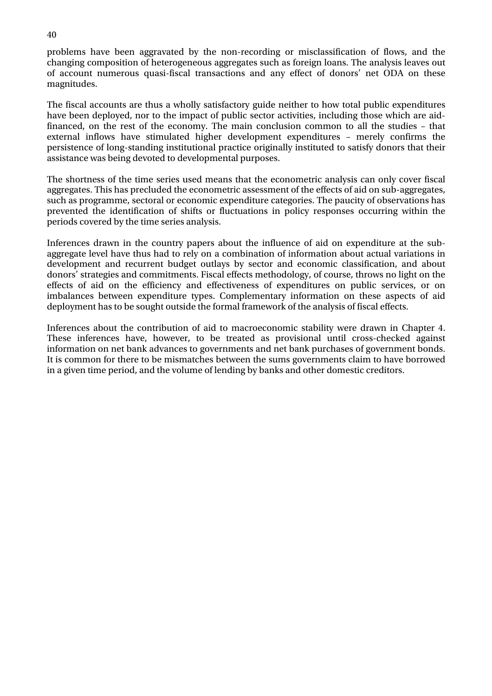problems have been aggravated by the non-recording or misclassification of flows, and the changing composition of heterogeneous aggregates such as foreign loans. The analysis leaves out of account numerous quasi-fiscal transactions and any effect of donors' net ODA on these magnitudes.

The fiscal accounts are thus a wholly satisfactory guide neither to how total public expenditures have been deployed, nor to the impact of public sector activities, including those which are aidfinanced, on the rest of the economy. The main conclusion common to all the studies – that external inflows have stimulated higher development expenditures – merely confirms the persistence of long-standing institutional practice originally instituted to satisfy donors that their assistance was being devoted to developmental purposes.

The shortness of the time series used means that the econometric analysis can only cover fiscal aggregates. This has precluded the econometric assessment of the effects of aid on sub-aggregates, such as programme, sectoral or economic expenditure categories. The paucity of observations has prevented the identification of shifts or fluctuations in policy responses occurring within the periods covered by the time series analysis.

Inferences drawn in the country papers about the influence of aid on expenditure at the subaggregate level have thus had to rely on a combination of information about actual variations in development and recurrent budget outlays by sector and economic classification, and about donors' strategies and commitments. Fiscal effects methodology, of course, throws no light on the effects of aid on the efficiency and effectiveness of expenditures on public services, or on imbalances between expenditure types. Complementary information on these aspects of aid deployment has to be sought outside the formal framework of the analysis of fiscal effects.

Inferences about the contribution of aid to macroeconomic stability were drawn in Chapter 4. These inferences have, however, to be treated as provisional until cross-checked against information on net bank advances to governments and net bank purchases of government bonds. It is common for there to be mismatches between the sums governments claim to have borrowed in a given time period, and the volume of lending by banks and other domestic creditors.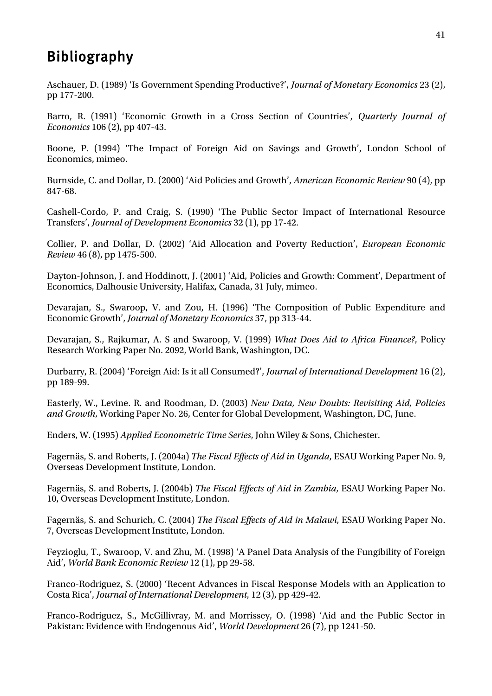## <span id="page-48-0"></span>Bibliography

Aschauer, D. (1989) 'Is Government Spending Productive?', *Journal of Monetary Economics* 23 (2), pp 177-200.

Barro, R. (1991) 'Economic Growth in a Cross Section of Countries', *Quarterly Journal of Economics* 106 (2), pp 407-43.

Boone, P. (1994) 'The Impact of Foreign Aid on Savings and Growth', London School of Economics, mimeo.

Burnside, C. and Dollar, D. (2000) 'Aid Policies and Growth', *American Economic Review* 90 (4), pp 847-68.

Cashell-Cordo, P. and Craig, S. (1990) 'The Public Sector Impact of International Resource Transfers', *Journal of Development Economics* 32 (1), pp 17-42.

Collier, P. and Dollar, D. (2002) 'Aid Allocation and Poverty Reduction', *European Economic Review* 46 (8), pp 1475-500.

Dayton-Johnson, J. and Hoddinott, J. (2001) 'Aid, Policies and Growth: Comment', Department of Economics, Dalhousie University, Halifax, Canada, 31 July, mimeo.

Devarajan, S., Swaroop, V. and Zou, H. (1996) 'The Composition of Public Expenditure and Economic Growth', *Journal of Monetary Economics* 37, pp 313-44.

Devarajan, S., Rajkumar, A. S and Swaroop, V. (1999) *What Does Aid to Africa Finance?*, Policy Research Working Paper No. 2092, World Bank, Washington, DC.

Durbarry, R. (2004) 'Foreign Aid: Is it all Consumed?', *Journal of International Development* 16 (2), pp 189-99.

Easterly, W., Levine. R. and Roodman, D. (2003) *New Data, New Doubts: Revisiting Aid, Policies and Growth*, Working Paper No. 26, Center for Global Development, Washington, DC, June.

Enders, W. (1995) *Applied Econometric Time Series*, John Wiley & Sons, Chichester.

Fagernäs, S. and Roberts, J. (2004a) *The Fiscal Effects of Aid in Uganda*, ESAU Working Paper No. 9, Overseas Development Institute, London.

Fagernäs, S. and Roberts, J. (2004b) *The Fiscal Effects of Aid in Zambia*, ESAU Working Paper No. 10, Overseas Development Institute, London.

Fagernäs, S. and Schurich, C. (2004) *The Fiscal Effects of Aid in Malawi*, ESAU Working Paper No. 7, Overseas Development Institute, London.

Feyzioglu, T., Swaroop, V. and Zhu, M. (1998) 'A Panel Data Analysis of the Fungibility of Foreign Aid', *World Bank Economic Review* 12 (1), pp 29-58.

Franco-Rodriguez, S. (2000) 'Recent Advances in Fiscal Response Models with an Application to Costa Rica', *Journal of International Development*, 12 (3), pp 429-42.

Franco-Rodriguez, S., McGillivray, M. and Morrissey, O. (1998) 'Aid and the Public Sector in Pakistan: Evidence with Endogenous Aid', *World Development* 26 (7), pp 1241-50.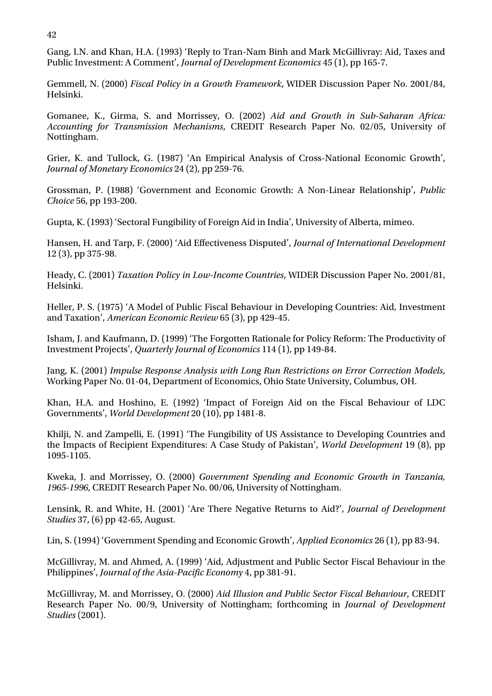Gang, I.N. and Khan, H.A. (1993) 'Reply to Tran-Nam Binh and Mark McGillivray: Aid, Taxes and Public Investment: A Comment', *Journal of Development Economics* 45 (1), pp 165-7.

Gemmell, N. (2000) *Fiscal Policy in a Growth Framework*, WIDER Discussion Paper No. 2001/84, Helsinki.

Gomanee, K., Girma, S. and Morrissey, O. (2002) *Aid and Growth in Sub-Saharan Africa: Accounting for Transmission Mechanisms*, CREDIT Research Paper No. 02/05, University of Nottingham.

Grier, K. and Tullock, G. (1987) 'An Empirical Analysis of Cross-National Economic Growth', *Journal of Monetary Economics* 24 (2), pp 259-76.

Grossman, P. (1988) 'Government and Economic Growth: A Non-Linear Relationship', *Public Choice* 56, pp 193-200.

Gupta, K. (1993) 'Sectoral Fungibility of Foreign Aid in India', University of Alberta, mimeo.

Hansen, H. and Tarp, F. (2000) 'Aid Effectiveness Disputed', *Journal of International Development* 12 (3), pp 375-98.

Heady, C. (2001) *Taxation Policy in Low-Income Countries*, WIDER Discussion Paper No. 2001/81, Helsinki.

Heller, P. S. (1975) 'A Model of Public Fiscal Behaviour in Developing Countries: Aid, Investment and Taxation', *American Economic Review* 65 (3), pp 429-45.

Isham, J. and Kaufmann, D. (1999) 'The Forgotten Rationale for Policy Reform: The Productivity of Investment Projects', *Quarterly Journal of Economics* 114 (1), pp 149-84.

Jang, K. (2001) *[Impulse Response Analysis with Long Run Restrictions on Error Correction Models](http://ideas.repec.org/p/osu/osuewp/01-04.html)*, [Working Paper No.](http://ideas.repec.org/s/osu/osuewp.html) 01-04, Department of Economics, Ohio State University, Columbus, OH.

Khan, H.A. and Hoshino, E. (1992) 'Impact of Foreign Aid on the Fiscal Behaviour of LDC Governments', *World Development* 20 (10), pp 1481-8.

Khilji, N. and Zampelli, E. (1991) 'The Fungibility of US Assistance to Developing Countries and the Impacts of Recipient Expenditures: A Case Study of Pakistan', *World Development* 19 (8), pp 1095-1105.

Kweka, J. and Morrissey, O. (2000) *Government Spending and Economic Growth in Tanzania, 1965-1996*, CREDIT Research Paper No. 00/06, University of Nottingham.

Lensink, R. and White, H. (2001) 'Are There Negative Returns to Aid?', *Journal of Development Studies* 37, (6) pp 42-65, August.

Lin, S. (1994) 'Government Spending and Economic Growth', *Applied Economics* 26 (1), pp 83-94.

McGillivray, M. and Ahmed, A. (1999) 'Aid, Adjustment and Public Sector Fiscal Behaviour in the Philippines', *Journal of the Asia-Pacific Economy* 4, pp 381-91.

McGillivray, M. and Morrissey, O. (2000) *Aid Illusion and Public Sector Fiscal Behaviour*, CREDIT Research Paper No. 00/9, University of Nottingham; forthcoming in *Journal of Development Studies* (2001).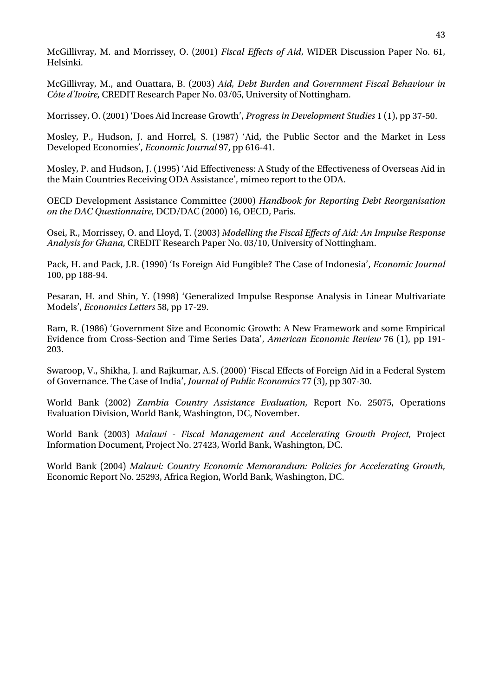McGillivray, M. and Morrissey, O. (2001) *Fiscal Effects of Aid*, WIDER Discussion Paper No. 61, Helsinki.

McGillivray, M., and Ouattara, B. (2003) *Aid, Debt Burden and Government Fiscal Behaviour in Côte d'Ivoire*, CREDIT Research Paper No. 03/05, University of Nottingham.

Morrissey, O. (2001) 'Does Aid Increase Growth', *Progress in Development Studies* 1 (1), pp 37-50.

Mosley, P., Hudson, J. and Horrel, S. (1987) 'Aid, the Public Sector and the Market in Less Developed Economies', *Economic Journal* 97, pp 616-41.

Mosley, P. and Hudson, J. (1995) 'Aid Effectiveness: A Study of the Effectiveness of Overseas Aid in the Main Countries Receiving ODA Assistance', mimeo report to the ODA.

OECD Development Assistance Committee (2000) *Handbook for Reporting Debt Reorganisation on the DAC Questionnaire*, DCD/DAC (2000) 16, OECD, Paris.

Osei, R., Morrissey, O. and Lloyd, T. (2003) *Modelling the Fiscal Effects of Aid: An Impulse Response Analysis for Ghana*, CREDIT Research Paper No. 03/10, University of Nottingham.

Pack, H. and Pack, J.R. (1990) 'Is Foreign Aid Fungible? The Case of Indonesia', *Economic Journal* 100, pp 188-94.

Pesaran, H. and Shin, Y. (1998) 'Generalized Impulse Response Analysis in Linear Multivariate Models', *Economics Letters* 58, pp 17-29.

Ram, R. (1986) 'Government Size and Economic Growth: A New Framework and some Empirical Evidence from Cross-Section and Time Series Data', *American Economic Review* 76 (1), pp 191- 203.

Swaroop, V., Shikha, J. and Rajkumar, A.S. (2000) 'Fiscal Effects of Foreign Aid in a Federal System of Governance. The Case of India', *Journal of Public Economics* 77 (3), pp 307-30.

World Bank (2002) *Zambia Country Assistance Evaluation*, Report No. 25075, Operations Evaluation Division, World Bank, Washington, DC, November.

World Bank (2003) *Malawi - Fiscal Management and Accelerating Growth Project*, Project Information Document, Project No. 27423, World Bank, Washington, DC.

World Bank (2004) *Malawi: Country Economic Memorandum: Policies for Accelerating Growth*, Economic Report No. 25293, Africa Region, World Bank, Washington, DC.